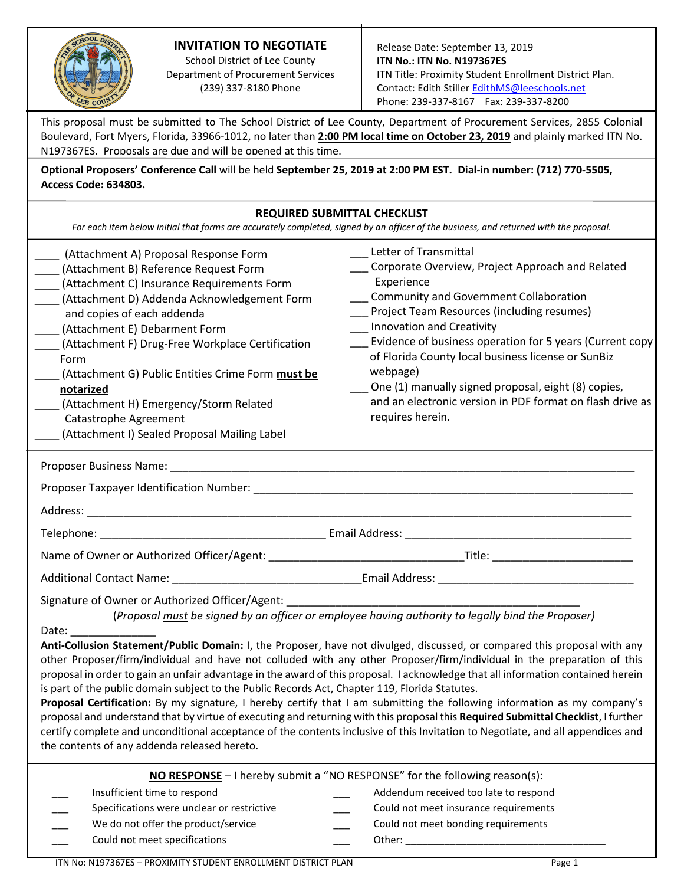# **INVITATION TO NEGOTIATE**

School District of Lee County Department of Procurement Services (239) 337-8180 Phone

This proposal must be submitted to The School District of Lee County, Department of Procurement Services, 2855 Colonial Boulevard, Fort Myers, Florida, 33966-1012, no later than **2:00 PM local time on October 23, 2019** and plainly marked ITN No. N197367ES. Proposals are due and will be opened at this time.

**Optional Proposers' Conference Call** will be held **September 25, 2019 at 2:00 PM EST. Dial-in number: (712) 770-5505, Access Code: 634803.**

|                                                                                                                                                                                                                                                                                                                                                                                                                                                                                             | <b>REQUIRED SUBMITTAL CHECKLIST</b><br>For each item below initial that forms are accurately completed, signed by an officer of the business, and returned with the proposal.                                                                                                                                                                                                                                                                                                                |
|---------------------------------------------------------------------------------------------------------------------------------------------------------------------------------------------------------------------------------------------------------------------------------------------------------------------------------------------------------------------------------------------------------------------------------------------------------------------------------------------|----------------------------------------------------------------------------------------------------------------------------------------------------------------------------------------------------------------------------------------------------------------------------------------------------------------------------------------------------------------------------------------------------------------------------------------------------------------------------------------------|
| (Attachment A) Proposal Response Form<br>(Attachment B) Reference Request Form<br>(Attachment C) Insurance Requirements Form<br>(Attachment D) Addenda Acknowledgement Form<br>and copies of each addenda<br>(Attachment E) Debarment Form<br>(Attachment F) Drug-Free Workplace Certification<br>Form<br>(Attachment G) Public Entities Crime Form must be<br>notarized<br>(Attachment H) Emergency/Storm Related<br>Catastrophe Agreement<br>(Attachment I) Sealed Proposal Mailing Label | Letter of Transmittal<br>__ Corporate Overview, Project Approach and Related<br>Experience<br>___ Community and Government Collaboration<br>Project Team Resources (including resumes)<br>Innovation and Creativity<br>Evidence of business operation for 5 years (Current copy<br>of Florida County local business license or SunBiz<br>webpage)<br>__ One (1) manually signed proposal, eight (8) copies,<br>and an electronic version in PDF format on flash drive as<br>requires herein. |
|                                                                                                                                                                                                                                                                                                                                                                                                                                                                                             |                                                                                                                                                                                                                                                                                                                                                                                                                                                                                              |
|                                                                                                                                                                                                                                                                                                                                                                                                                                                                                             |                                                                                                                                                                                                                                                                                                                                                                                                                                                                                              |
|                                                                                                                                                                                                                                                                                                                                                                                                                                                                                             |                                                                                                                                                                                                                                                                                                                                                                                                                                                                                              |
|                                                                                                                                                                                                                                                                                                                                                                                                                                                                                             |                                                                                                                                                                                                                                                                                                                                                                                                                                                                                              |
|                                                                                                                                                                                                                                                                                                                                                                                                                                                                                             |                                                                                                                                                                                                                                                                                                                                                                                                                                                                                              |
|                                                                                                                                                                                                                                                                                                                                                                                                                                                                                             |                                                                                                                                                                                                                                                                                                                                                                                                                                                                                              |
| Signature of Owner or Authorized Officer/Agent:                                                                                                                                                                                                                                                                                                                                                                                                                                             | (Proposal must be signed by an officer or employee having authority to legally bind the Proposer)                                                                                                                                                                                                                                                                                                                                                                                            |

Date:

**Anti-Collusion Statement/Public Domain:** I, the Proposer, have not divulged, discussed, or compared this proposal with any other Proposer/firm/individual and have not colluded with any other Proposer/firm/individual in the preparation of this proposal in order to gain an unfair advantage in the award of this proposal. I acknowledge that all information contained herein is part of the public domain subject to the Public Records Act, Chapter 119, Florida Statutes.

**Proposal Certification:** By my signature, I hereby certify that I am submitting the following information as my company's proposal and understand that by virtue of executing and returning with this proposal this **Required Submittal Checklist**, I further certify complete and unconditional acceptance of the contents inclusive of this Invitation to Negotiate, and all appendices and the contents of any addenda released hereto.

| <b>NO RESPONSE</b> - I hereby submit a "NO RESPONSE" for the following reason(s): |                                                                 |  |                                       |
|-----------------------------------------------------------------------------------|-----------------------------------------------------------------|--|---------------------------------------|
|                                                                                   | Insufficient time to respond                                    |  | Addendum received too late to respond |
|                                                                                   | Specifications were unclear or restrictive                      |  | Could not meet insurance requirements |
|                                                                                   | We do not offer the product/service                             |  | Could not meet bonding requirements   |
|                                                                                   | Could not meet specifications                                   |  | Other:                                |
|                                                                                   | $1 + 1 - 1 - 140 - 270$<br><u> BBAVILLETV CTURENT ENBALLATI</u> |  | . .                                   |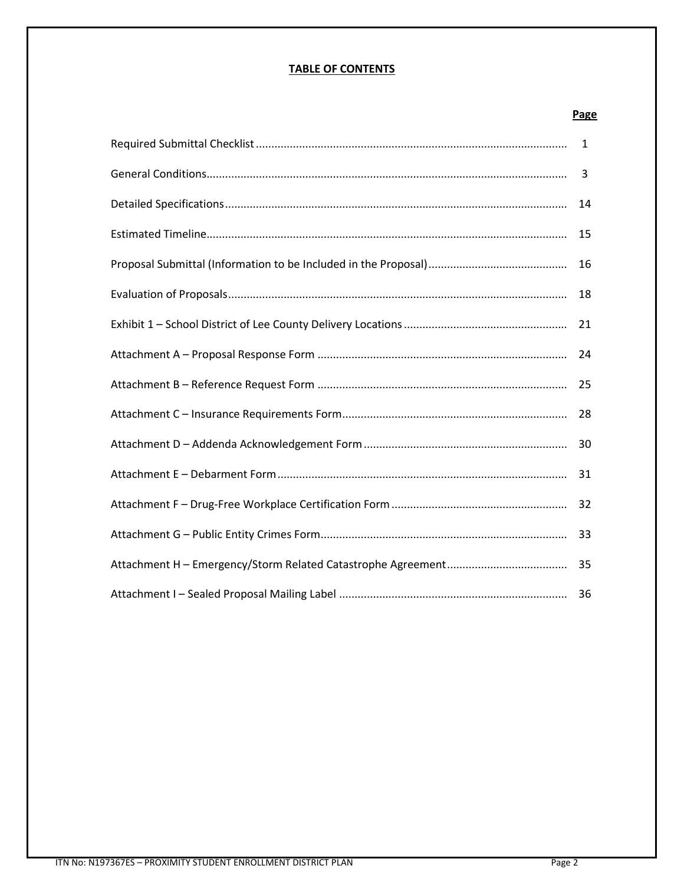# **TABLE OF CONTENTS**

### **Page**

| 1  |
|----|
| 3  |
| 14 |
| 15 |
| 16 |
| 18 |
| 21 |
| 24 |
| 25 |
| 28 |
| 30 |
| 31 |
| 32 |
| 33 |
| 35 |
|    |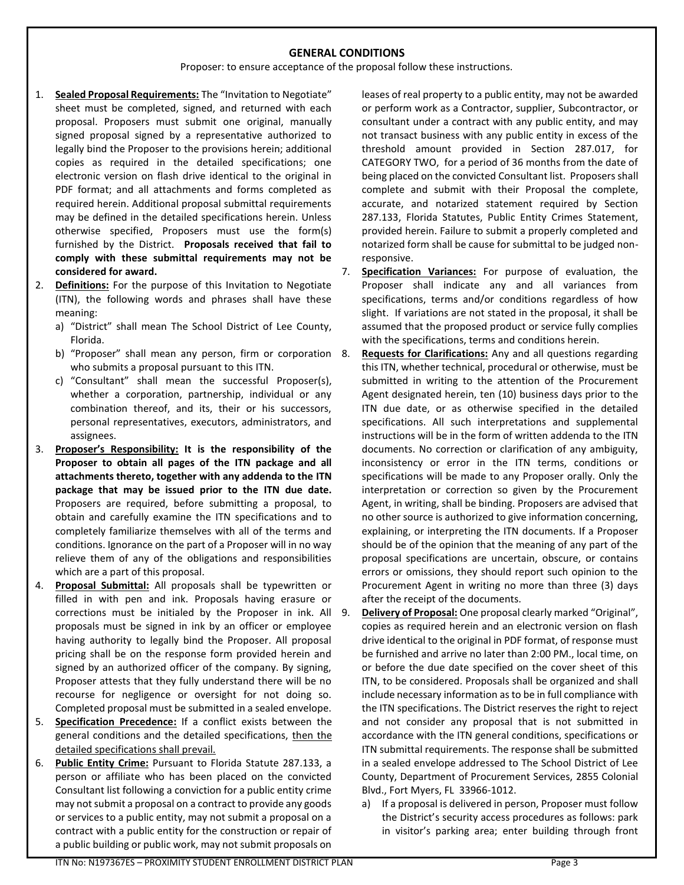#### **GENERAL CONDITIONS**

Proposer: to ensure acceptance of the proposal follow these instructions.

- 1. **Sealed Proposal Requirements:** The "Invitation to Negotiate" sheet must be completed, signed, and returned with each proposal. Proposers must submit one original, manually signed proposal signed by a representative authorized to legally bind the Proposer to the provisions herein; additional copies as required in the detailed specifications; one electronic version on flash drive identical to the original in PDF format; and all attachments and forms completed as required herein. Additional proposal submittal requirements may be defined in the detailed specifications herein. Unless otherwise specified, Proposers must use the form(s) furnished by the District. **Proposals received that fail to comply with these submittal requirements may not be considered for award.**
- 2. **Definitions:** For the purpose of this Invitation to Negotiate (ITN), the following words and phrases shall have these meaning:
	- a) "District" shall mean The School District of Lee County, Florida.
	- b) "Proposer" shall mean any person, firm or corporation 8. who submits a proposal pursuant to this ITN.
	- c) "Consultant" shall mean the successful Proposer(s), whether a corporation, partnership, individual or any combination thereof, and its, their or his successors, personal representatives, executors, administrators, and assignees.
- 3. **Proposer's Responsibility: It is the responsibility of the Proposer to obtain all pages of the ITN package and all attachments thereto, together with any addenda to the ITN package that may be issued prior to the ITN due date.** Proposers are required, before submitting a proposal, to obtain and carefully examine the ITN specifications and to completely familiarize themselves with all of the terms and conditions. Ignorance on the part of a Proposer will in no way relieve them of any of the obligations and responsibilities which are a part of this proposal.
- 4. **Proposal Submittal:** All proposals shall be typewritten or filled in with pen and ink. Proposals having erasure or corrections must be initialed by the Proposer in ink. All proposals must be signed in ink by an officer or employee having authority to legally bind the Proposer. All proposal pricing shall be on the response form provided herein and signed by an authorized officer of the company. By signing, Proposer attests that they fully understand there will be no recourse for negligence or oversight for not doing so. Completed proposal must be submitted in a sealed envelope.
- 5. **Specification Precedence:** If a conflict exists between the general conditions and the detailed specifications, then the detailed specifications shall prevail.
- 6. **Public Entity Crime:** Pursuant to Florida Statute 287.133, a person or affiliate who has been placed on the convicted Consultant list following a conviction for a public entity crime may not submit a proposal on a contract to provide any goods or services to a public entity, may not submit a proposal on a contract with a public entity for the construction or repair of a public building or public work, may not submit proposals on

leases of real property to a public entity, may not be awarded or perform work as a Contractor, supplier, Subcontractor, or consultant under a contract with any public entity, and may not transact business with any public entity in excess of the threshold amount provided in Section 287.017, for CATEGORY TWO, for a period of 36 months from the date of being placed on the convicted Consultant list. Proposers shall complete and submit with their Proposal the complete, accurate, and notarized statement required by Section 287.133, Florida Statutes, Public Entity Crimes Statement, provided herein. Failure to submit a properly completed and notarized form shall be cause for submittal to be judged nonresponsive.

- 7. **Specification Variances:** For purpose of evaluation, the Proposer shall indicate any and all variances from specifications, terms and/or conditions regardless of how slight. If variations are not stated in the proposal, it shall be assumed that the proposed product or service fully complies with the specifications, terms and conditions herein.
	- **Requests for Clarifications:** Any and all questions regarding this ITN, whether technical, procedural or otherwise, must be submitted in writing to the attention of the Procurement Agent designated herein, ten (10) business days prior to the ITN due date, or as otherwise specified in the detailed specifications. All such interpretations and supplemental instructions will be in the form of written addenda to the ITN documents. No correction or clarification of any ambiguity, inconsistency or error in the ITN terms, conditions or specifications will be made to any Proposer orally. Only the interpretation or correction so given by the Procurement Agent, in writing, shall be binding. Proposers are advised that no other source is authorized to give information concerning, explaining, or interpreting the ITN documents. If a Proposer should be of the opinion that the meaning of any part of the proposal specifications are uncertain, obscure, or contains errors or omissions, they should report such opinion to the Procurement Agent in writing no more than three (3) days after the receipt of the documents.
	- 9. **Delivery of Proposal:** One proposal clearly marked "Original", copies as required herein and an electronic version on flash drive identical to the original in PDF format, of response must be furnished and arrive no later than 2:00 PM., local time, on or before the due date specified on the cover sheet of this ITN, to be considered. Proposals shall be organized and shall include necessary information as to be in full compliance with the ITN specifications. The District reserves the right to reject and not consider any proposal that is not submitted in accordance with the ITN general conditions, specifications or ITN submittal requirements. The response shall be submitted in a sealed envelope addressed to The School District of Lee County, Department of Procurement Services, 2855 Colonial Blvd., Fort Myers, FL 33966-1012.
		- a) If a proposal is delivered in person, Proposer must follow the District's security access procedures as follows: park in visitor's parking area; enter building through front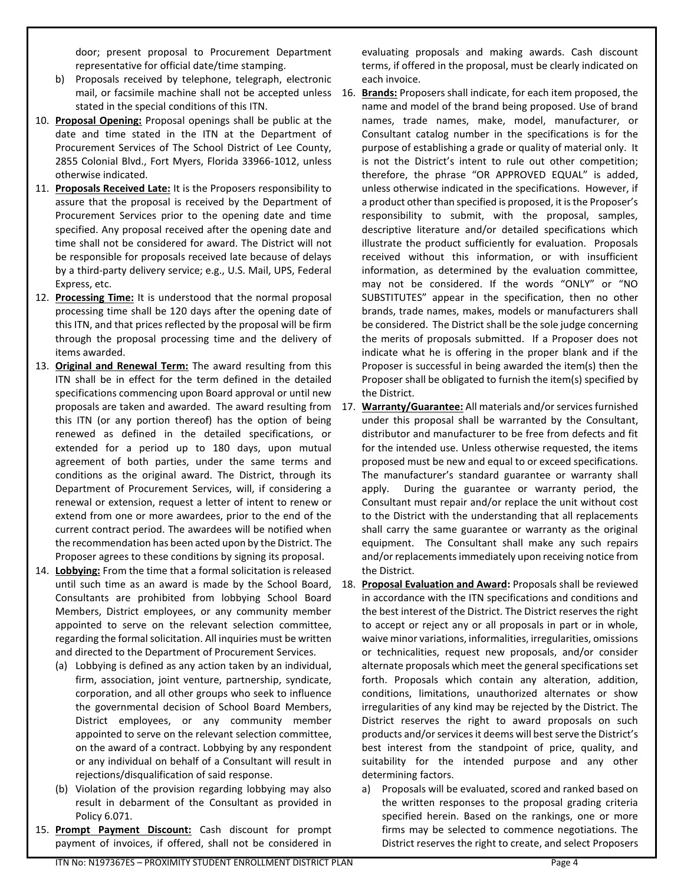door; present proposal to Procurement Department representative for official date/time stamping.

- b) Proposals received by telephone, telegraph, electronic stated in the special conditions of this ITN.
- 10. **Proposal Opening:** Proposal openings shall be public at the date and time stated in the ITN at the Department of Procurement Services of The School District of Lee County, 2855 Colonial Blvd., Fort Myers, Florida 33966-1012, unless otherwise indicated.
- 11. **Proposals Received Late:** It is the Proposers responsibility to assure that the proposal is received by the Department of Procurement Services prior to the opening date and time specified. Any proposal received after the opening date and time shall not be considered for award. The District will not be responsible for proposals received late because of delays by a third-party delivery service; e.g., U.S. Mail, UPS, Federal Express, etc.
- 12. **Processing Time:** It is understood that the normal proposal processing time shall be 120 days after the opening date of this ITN, and that prices reflected by the proposal will be firm through the proposal processing time and the delivery of items awarded.
- 13. **Original and Renewal Term:** The award resulting from this ITN shall be in effect for the term defined in the detailed specifications commencing upon Board approval or until new this ITN (or any portion thereof) has the option of being renewed as defined in the detailed specifications, or extended for a period up to 180 days, upon mutual agreement of both parties, under the same terms and conditions as the original award. The District, through its Department of Procurement Services, will, if considering a renewal or extension, request a letter of intent to renew or extend from one or more awardees, prior to the end of the current contract period. The awardees will be notified when the recommendation has been acted upon by the District. The Proposer agrees to these conditions by signing its proposal.
- 14. **Lobbying:** From the time that a formal solicitation is released until such time as an award is made by the School Board, Consultants are prohibited from lobbying School Board Members, District employees, or any community member appointed to serve on the relevant selection committee, regarding the formal solicitation. All inquiries must be written and directed to the Department of Procurement Services.
	- (a) Lobbying is defined as any action taken by an individual, firm, association, joint venture, partnership, syndicate, corporation, and all other groups who seek to influence the governmental decision of School Board Members, District employees, or any community member appointed to serve on the relevant selection committee, on the award of a contract. Lobbying by any respondent or any individual on behalf of a Consultant will result in rejections/disqualification of said response.
	- (b) Violation of the provision regarding lobbying may also result in debarment of the Consultant as provided in Policy 6.071.
- 15. **Prompt Payment Discount:** Cash discount for prompt payment of invoices, if offered, shall not be considered in

evaluating proposals and making awards. Cash discount terms, if offered in the proposal, must be clearly indicated on each invoice.

- mail, or facsimile machine shall not be accepted unless 16. **Brands:** Proposers shall indicate, for each item proposed, the name and model of the brand being proposed. Use of brand names, trade names, make, model, manufacturer, or Consultant catalog number in the specifications is for the purpose of establishing a grade or quality of material only. It is not the District's intent to rule out other competition; therefore, the phrase "OR APPROVED EQUAL" is added, unless otherwise indicated in the specifications. However, if a product other than specified is proposed, it is the Proposer's responsibility to submit, with the proposal, samples, descriptive literature and/or detailed specifications which illustrate the product sufficiently for evaluation. Proposals received without this information, or with insufficient information, as determined by the evaluation committee, may not be considered. If the words "ONLY" or "NO SUBSTITUTES" appear in the specification, then no other brands, trade names, makes, models or manufacturers shall be considered. The District shall be the sole judge concerning the merits of proposals submitted. If a Proposer does not indicate what he is offering in the proper blank and if the Proposer is successful in being awarded the item(s) then the Proposer shall be obligated to furnish the item(s) specified by the District.
- proposals are taken and awarded. The award resulting from 17. **Warranty/Guarantee:** All materials and/or services furnished under this proposal shall be warranted by the Consultant, distributor and manufacturer to be free from defects and fit for the intended use. Unless otherwise requested, the items proposed must be new and equal to or exceed specifications. The manufacturer's standard guarantee or warranty shall apply. During the guarantee or warranty period, the Consultant must repair and/or replace the unit without cost to the District with the understanding that all replacements shall carry the same guarantee or warranty as the original equipment. The Consultant shall make any such repairs and/or replacements immediately upon receiving notice from the District.
	- 18. **Proposal Evaluation and Award:** Proposals shall be reviewed in accordance with the ITN specifications and conditions and the best interest of the District. The District reserves the right to accept or reject any or all proposals in part or in whole, waive minor variations, informalities, irregularities, omissions or technicalities, request new proposals, and/or consider alternate proposals which meet the general specifications set forth. Proposals which contain any alteration, addition, conditions, limitations, unauthorized alternates or show irregularities of any kind may be rejected by the District. The District reserves the right to award proposals on such products and/or services it deems will best serve the District's best interest from the standpoint of price, quality, and suitability for the intended purpose and any other determining factors.
		- a) Proposals will be evaluated, scored and ranked based on the written responses to the proposal grading criteria specified herein. Based on the rankings, one or more firms may be selected to commence negotiations. The District reserves the right to create, and select Proposers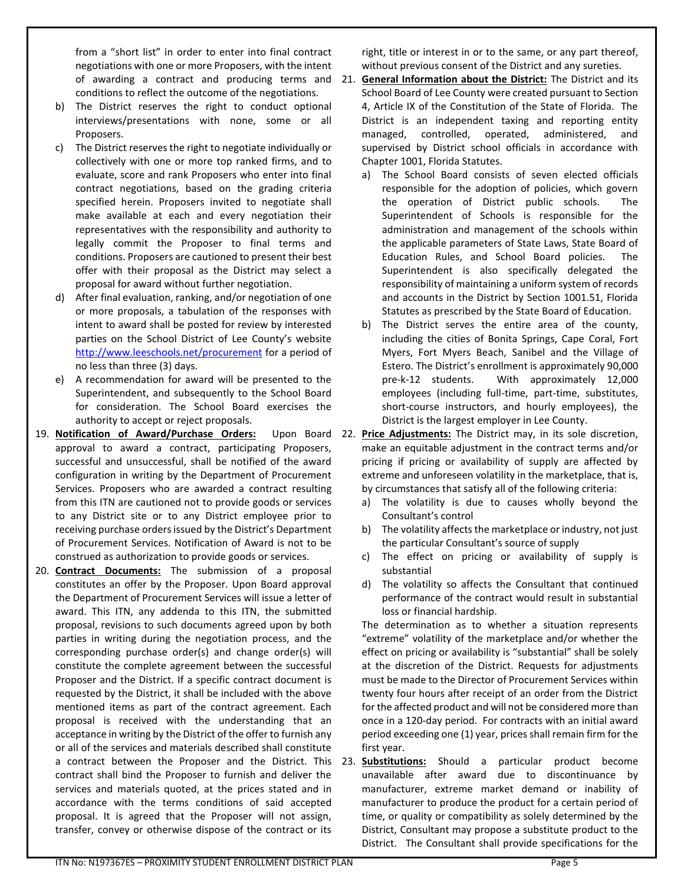from a "short list" in order to enter into final contract negotiations with one or more Proposers, with the intent conditions to reflect the outcome of the negotiations.

- b) The District reserves the right to conduct optional interviews/presentations with none, some or all Proposers.
- c) The District reserves the right to negotiate individually or collectively with one or more top ranked firms, and to evaluate, score and rank Proposers who enter into final contract negotiations, based on the grading criteria specified herein. Proposers invited to negotiate shall make available at each and every negotiation their representatives with the responsibility and authority to legally commit the Proposer to final terms and conditions. Proposers are cautioned to present their best offer with their proposal as the District may select a proposal for award without further negotiation.
- d) After final evaluation, ranking, and/or negotiation of one or more proposals, a tabulation of the responses with intent to award shall be posted for review by interested parties on the School District of Lee County's website <http://www.leeschools.net/procurement> for a period of no less than three (3) days.
- e) A recommendation for award will be presented to the Superintendent, and subsequently to the School Board for consideration. The School Board exercises the authority to accept or reject proposals.
- 19. Notification of Award/Purchase Orders: approval to award a contract, participating Proposers, successful and unsuccessful, shall be notified of the award configuration in writing by the Department of Procurement Services. Proposers who are awarded a contract resulting from this ITN are cautioned not to provide goods or services to any District site or to any District employee prior to receiving purchase orders issued by the District's Department of Procurement Services. Notification of Award is not to be construed as authorization to provide goods or services.
- 20. **Contract Documents:** The submission of a proposal constitutes an offer by the Proposer. Upon Board approval the Department of Procurement Services will issue a letter of award. This ITN, any addenda to this ITN, the submitted proposal, revisions to such documents agreed upon by both parties in writing during the negotiation process, and the corresponding purchase order(s) and change order(s) will constitute the complete agreement between the successful Proposer and the District. If a specific contract document is requested by the District, it shall be included with the above mentioned items as part of the contract agreement. Each proposal is received with the understanding that an acceptance in writing by the District of the offer to furnish any or all of the services and materials described shall constitute contract shall bind the Proposer to furnish and deliver the services and materials quoted, at the prices stated and in accordance with the terms conditions of said accepted proposal. It is agreed that the Proposer will not assign, transfer, convey or otherwise dispose of the contract or its

right, title or interest in or to the same, or any part thereof, without previous consent of the District and any sureties.

- of awarding a contract and producing terms and 21. **General Information about the District:** The District and its School Board of Lee County were created pursuant to Section 4, Article IX of the Constitution of the State of Florida. The District is an independent taxing and reporting entity managed, controlled, operated, administered, and supervised by District school officials in accordance with Chapter 1001, Florida Statutes.
	- a) The School Board consists of seven elected officials responsible for the adoption of policies, which govern the operation of District public schools. The Superintendent of Schools is responsible for the administration and management of the schools within the applicable parameters of State Laws, State Board of Education Rules, and School Board policies. The Superintendent is also specifically delegated the responsibility of maintaining a uniform system of records and accounts in the District by Section 1001.51, Florida Statutes as prescribed by the State Board of Education.
	- b) The District serves the entire area of the county, including the cities of Bonita Springs, Cape Coral, Fort Myers, Fort Myers Beach, Sanibel and the Village of Estero. The District's enrollment is approximately 90,000 pre-k-12 students. With approximately 12,000 employees (including full-time, part-time, substitutes, short-course instructors, and hourly employees), the District is the largest employer in Lee County.
	- Upon Board 22. **Price Adjustments:** The District may, in its sole discretion, make an equitable adjustment in the contract terms and/or pricing if pricing or availability of supply are affected by extreme and unforeseen volatility in the marketplace, that is, by circumstances that satisfy all of the following criteria:
		- a) The volatility is due to causes wholly beyond the Consultant's control
		- b) The volatility affects the marketplace or industry, not just the particular Consultant's source of supply
		- c) The effect on pricing or availability of supply is substantial
		- d) The volatility so affects the Consultant that continued performance of the contract would result in substantial loss or financial hardship.

The determination as to whether a situation represents "extreme" volatility of the marketplace and/or whether the effect on pricing or availability is "substantial" shall be solely at the discretion of the District. Requests for adjustments must be made to the Director of Procurement Services within twenty four hours after receipt of an order from the District for the affected product and will not be considered more than once in a 120-day period. For contracts with an initial award period exceeding one (1) year, prices shall remain firm for the first year.

a contract between the Proposer and the District. This 23. **Substitutions:** Should a particular product become unavailable after award due to discontinuance by manufacturer, extreme market demand or inability of manufacturer to produce the product for a certain period of time, or quality or compatibility as solely determined by the District, Consultant may propose a substitute product to the District. The Consultant shall provide specifications for the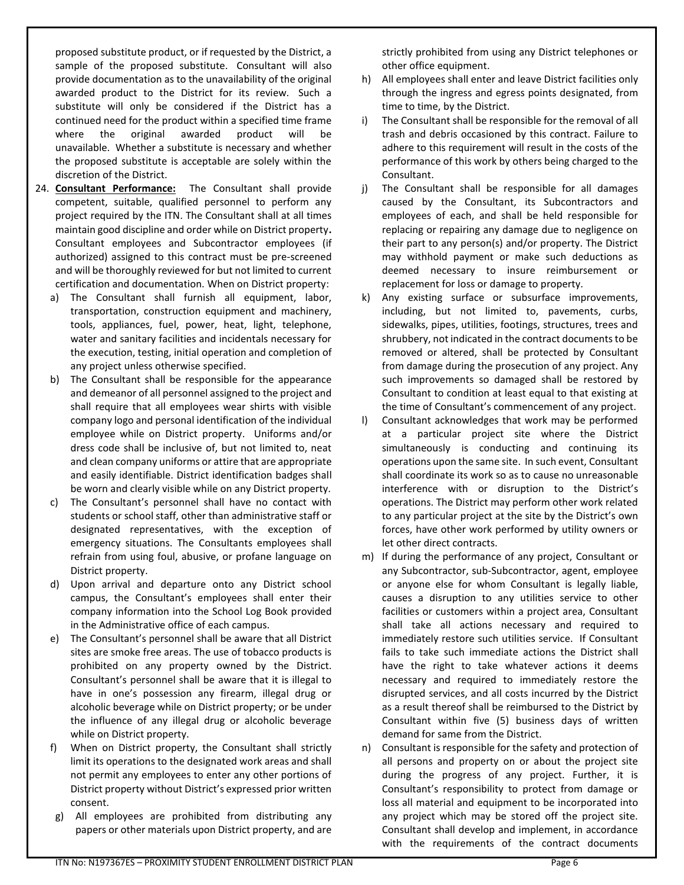proposed substitute product, or if requested by the District, a sample of the proposed substitute. Consultant will also provide documentation as to the unavailability of the original awarded product to the District for its review. Such a substitute will only be considered if the District has a continued need for the product within a specified time frame where the original awarded product will be unavailable. Whether a substitute is necessary and whether the proposed substitute is acceptable are solely within the discretion of the District.

- 24. **Consultant Performance:** The Consultant shall provide competent, suitable, qualified personnel to perform any project required by the ITN. The Consultant shall at all times maintain good discipline and order while on District property**.**  Consultant employees and Subcontractor employees (if authorized) assigned to this contract must be pre-screened and will be thoroughly reviewed for but not limited to current certification and documentation. When on District property:
	- a) The Consultant shall furnish all equipment, labor, transportation, construction equipment and machinery, tools, appliances, fuel, power, heat, light, telephone, water and sanitary facilities and incidentals necessary for the execution, testing, initial operation and completion of any project unless otherwise specified.
	- b) The Consultant shall be responsible for the appearance and demeanor of all personnel assigned to the project and shall require that all employees wear shirts with visible company logo and personal identification of the individual employee while on District property. Uniforms and/or dress code shall be inclusive of, but not limited to, neat and clean company uniforms or attire that are appropriate and easily identifiable. District identification badges shall be worn and clearly visible while on any District property.
	- c) The Consultant's personnel shall have no contact with students or school staff, other than administrative staff or designated representatives, with the exception of emergency situations. The Consultants employees shall refrain from using foul, abusive, or profane language on District property.
	- d) Upon arrival and departure onto any District school campus, the Consultant's employees shall enter their company information into the School Log Book provided in the Administrative office of each campus.
	- e) The Consultant's personnel shall be aware that all District sites are smoke free areas. The use of tobacco products is prohibited on any property owned by the District. Consultant's personnel shall be aware that it is illegal to have in one's possession any firearm, illegal drug or alcoholic beverage while on District property; or be under the influence of any illegal drug or alcoholic beverage while on District property.
	- f) When on District property, the Consultant shall strictly limit its operations to the designated work areas and shall not permit any employees to enter any other portions of District property without District's expressed prior written consent.
	- g) All employees are prohibited from distributing any papers or other materials upon District property, and are

strictly prohibited from using any District telephones or other office equipment.

- h) All employees shall enter and leave District facilities only through the ingress and egress points designated, from time to time, by the District.
- i) The Consultant shall be responsible for the removal of all trash and debris occasioned by this contract. Failure to adhere to this requirement will result in the costs of the performance of this work by others being charged to the Consultant.
- j) The Consultant shall be responsible for all damages caused by the Consultant, its Subcontractors and employees of each, and shall be held responsible for replacing or repairing any damage due to negligence on their part to any person(s) and/or property. The District may withhold payment or make such deductions as deemed necessary to insure reimbursement or replacement for loss or damage to property.
- k) Any existing surface or subsurface improvements, including, but not limited to, pavements, curbs, sidewalks, pipes, utilities, footings, structures, trees and shrubbery, not indicated in the contract documents to be removed or altered, shall be protected by Consultant from damage during the prosecution of any project. Any such improvements so damaged shall be restored by Consultant to condition at least equal to that existing at the time of Consultant's commencement of any project.
- l) Consultant acknowledges that work may be performed at a particular project site where the District simultaneously is conducting and continuing its operations upon the same site. In such event, Consultant shall coordinate its work so as to cause no unreasonable interference with or disruption to the District's operations. The District may perform other work related to any particular project at the site by the District's own forces, have other work performed by utility owners or let other direct contracts.
- m) If during the performance of any project, Consultant or any Subcontractor, sub-Subcontractor, agent, employee or anyone else for whom Consultant is legally liable, causes a disruption to any utilities service to other facilities or customers within a project area, Consultant shall take all actions necessary and required to immediately restore such utilities service. If Consultant fails to take such immediate actions the District shall have the right to take whatever actions it deems necessary and required to immediately restore the disrupted services, and all costs incurred by the District as a result thereof shall be reimbursed to the District by Consultant within five (5) business days of written demand for same from the District.
- n) Consultant is responsible for the safety and protection of all persons and property on or about the project site during the progress of any project. Further, it is Consultant's responsibility to protect from damage or loss all material and equipment to be incorporated into any project which may be stored off the project site. Consultant shall develop and implement, in accordance with the requirements of the contract documents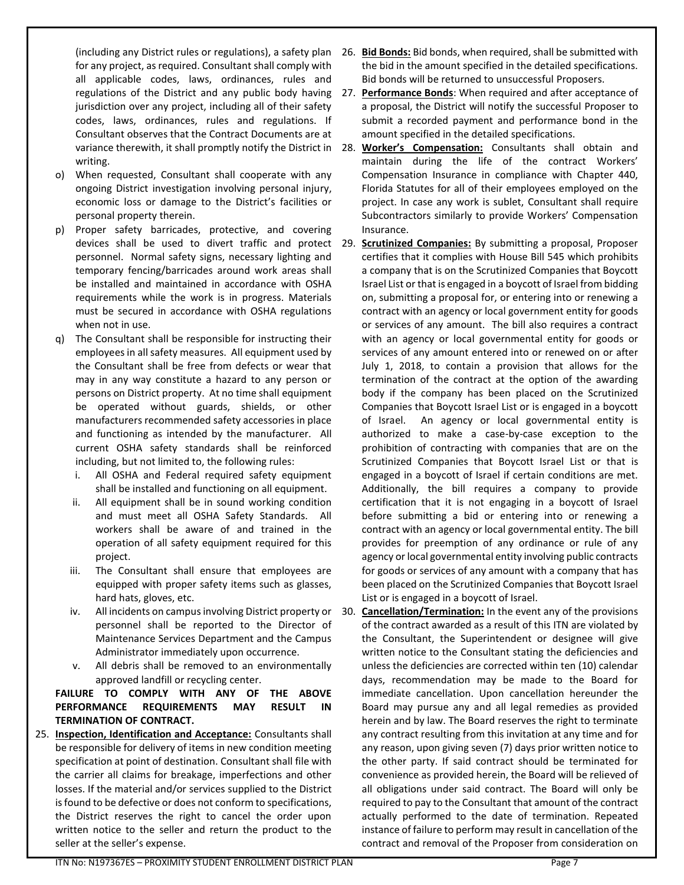(including any District rules or regulations), a safety plan for any project, as required. Consultant shall comply with all applicable codes, laws, ordinances, rules and jurisdiction over any project, including all of their safety codes, laws, ordinances, rules and regulations. If Consultant observes that the Contract Documents are at writing.

- o) When requested, Consultant shall cooperate with any ongoing District investigation involving personal injury, economic loss or damage to the District's facilities or personal property therein.
- p) Proper safety barricades, protective, and covering personnel. Normal safety signs, necessary lighting and temporary fencing/barricades around work areas shall be installed and maintained in accordance with OSHA requirements while the work is in progress. Materials must be secured in accordance with OSHA regulations when not in use.
- q) The Consultant shall be responsible for instructing their employees in all safety measures. All equipment used by the Consultant shall be free from defects or wear that may in any way constitute a hazard to any person or persons on District property. At no time shall equipment be operated without guards, shields, or other manufacturers recommended safety accessories in place and functioning as intended by the manufacturer. All current OSHA safety standards shall be reinforced including, but not limited to, the following rules:
	- i. All OSHA and Federal required safety equipment shall be installed and functioning on all equipment.
	- ii. All equipment shall be in sound working condition and must meet all OSHA Safety Standards. All workers shall be aware of and trained in the operation of all safety equipment required for this project.
	- iii. The Consultant shall ensure that employees are equipped with proper safety items such as glasses, hard hats, gloves, etc.
	- personnel shall be reported to the Director of Maintenance Services Department and the Campus Administrator immediately upon occurrence.
	- v. All debris shall be removed to an environmentally approved landfill or recycling center.

**FAILURE TO COMPLY WITH ANY OF THE ABOVE PERFORMANCE REQUIREMENTS MAY RESULT IN TERMINATION OF CONTRACT.**

25. **Inspection, Identification and Acceptance:** Consultants shall be responsible for delivery of items in new condition meeting specification at point of destination. Consultant shall file with the carrier all claims for breakage, imperfections and other losses. If the material and/or services supplied to the District is found to be defective or does not conform to specifications, the District reserves the right to cancel the order upon written notice to the seller and return the product to the seller at the seller's expense.

- 26. **Bid Bonds:** Bid bonds, when required, shall be submitted with the bid in the amount specified in the detailed specifications. Bid bonds will be returned to unsuccessful Proposers.
- regulations of the District and any public body having 27. **Performance Bonds**: When required and after acceptance of a proposal, the District will notify the successful Proposer to submit a recorded payment and performance bond in the amount specified in the detailed specifications.
- variance therewith, it shall promptly notify the District in 28. Worker's Compensation: Consultants shall obtain and maintain during the life of the contract Workers' Compensation Insurance in compliance with Chapter 440, Florida Statutes for all of their employees employed on the project. In case any work is sublet, Consultant shall require Subcontractors similarly to provide Workers' Compensation Insurance.
- devices shall be used to divert traffic and protect 29. **Scrutinized Companies:** By submitting a proposal, Proposer certifies that it complies with House Bill 545 which prohibits a company that is on the Scrutinized Companies that Boycott Israel List or that is engaged in a boycott of Israel from bidding on, submitting a proposal for, or entering into or renewing a contract with an agency or local government entity for goods or services of any amount. The bill also requires a contract with an agency or local governmental entity for goods or services of any amount entered into or renewed on or after July 1, 2018, to contain a provision that allows for the termination of the contract at the option of the awarding body if the company has been placed on the Scrutinized Companies that Boycott Israel List or is engaged in a boycott of Israel. An agency or local governmental entity is authorized to make a case-by-case exception to the prohibition of contracting with companies that are on the Scrutinized Companies that Boycott Israel List or that is engaged in a boycott of Israel if certain conditions are met. Additionally, the bill requires a company to provide certification that it is not engaging in a boycott of Israel before submitting a bid or entering into or renewing a contract with an agency or local governmental entity. The bill provides for preemption of any ordinance or rule of any agency or local governmental entity involving public contracts for goods or services of any amount with a company that has been placed on the Scrutinized Companies that Boycott Israel List or is engaged in a boycott of Israel.

iv. All incidents on campus involving District property or 30. **Cancellation/Termination:** In the event any of the provisions of the contract awarded as a result of this ITN are violated by the Consultant, the Superintendent or designee will give written notice to the Consultant stating the deficiencies and unless the deficiencies are corrected within ten (10) calendar days, recommendation may be made to the Board for immediate cancellation. Upon cancellation hereunder the Board may pursue any and all legal remedies as provided herein and by law. The Board reserves the right to terminate any contract resulting from this invitation at any time and for any reason, upon giving seven (7) days prior written notice to the other party. If said contract should be terminated for convenience as provided herein, the Board will be relieved of all obligations under said contract. The Board will only be required to pay to the Consultant that amount of the contract actually performed to the date of termination. Repeated instance of failure to perform may result in cancellation of the contract and removal of the Proposer from consideration on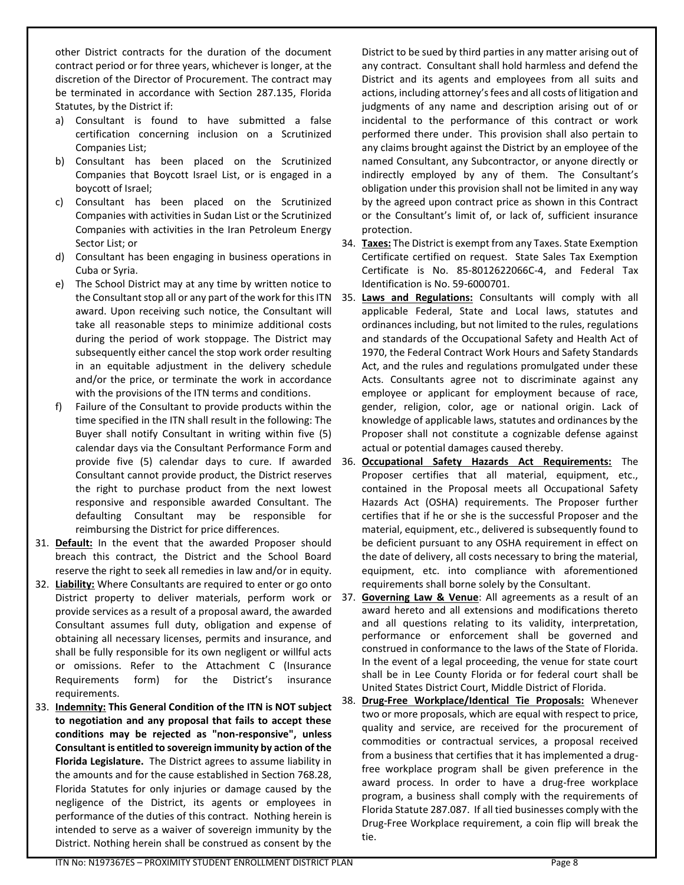other District contracts for the duration of the document contract period or for three years, whichever is longer, at the discretion of the Director of Procurement. The contract may be terminated in accordance with Section 287.135, Florida Statutes, by the District if:

- a) Consultant is found to have submitted a false certification concerning inclusion on a Scrutinized Companies List;
- b) Consultant has been placed on the Scrutinized Companies that Boycott Israel List, or is engaged in a boycott of Israel;
- c) Consultant has been placed on the Scrutinized Companies with activities in Sudan List or the Scrutinized Companies with activities in the Iran Petroleum Energy Sector List; or
- d) Consultant has been engaging in business operations in Cuba or Syria.
- e) The School District may at any time by written notice to award. Upon receiving such notice, the Consultant will take all reasonable steps to minimize additional costs during the period of work stoppage. The District may subsequently either cancel the stop work order resulting in an equitable adjustment in the delivery schedule and/or the price, or terminate the work in accordance with the provisions of the ITN terms and conditions.
- f) Failure of the Consultant to provide products within the time specified in the ITN shall result in the following: The Buyer shall notify Consultant in writing within five (5) calendar days via the Consultant Performance Form and provide five (5) calendar days to cure. If awarded Consultant cannot provide product, the District reserves the right to purchase product from the next lowest responsive and responsible awarded Consultant. The defaulting Consultant may be responsible for reimbursing the District for price differences.
- 31. **Default:** In the event that the awarded Proposer should breach this contract, the District and the School Board reserve the right to seek all remedies in law and/or in equity.
- 32. **Liability:** Where Consultants are required to enter or go onto provide services as a result of a proposal award, the awarded Consultant assumes full duty, obligation and expense of obtaining all necessary licenses, permits and insurance, and shall be fully responsible for its own negligent or willful acts or omissions. Refer to the Attachment C (Insurance Requirements form) for the District's insurance requirements.
- 33. **Indemnity: This General Condition of the ITN is NOT subject to negotiation and any proposal that fails to accept these conditions may be rejected as "non-responsive", unless Consultant is entitled to sovereign immunity by action of the Florida Legislature.** The District agrees to assume liability in the amounts and for the cause established in Section 768.28, Florida Statutes for only injuries or damage caused by the negligence of the District, its agents or employees in performance of the duties of this contract. Nothing herein is intended to serve as a waiver of sovereign immunity by the District. Nothing herein shall be construed as consent by the

District to be sued by third parties in any matter arising out of any contract. Consultant shall hold harmless and defend the District and its agents and employees from all suits and actions, including attorney's fees and all costs of litigation and judgments of any name and description arising out of or incidental to the performance of this contract or work performed there under. This provision shall also pertain to any claims brought against the District by an employee of the named Consultant, any Subcontractor, or anyone directly or indirectly employed by any of them. The Consultant's obligation under this provision shall not be limited in any way by the agreed upon contract price as shown in this Contract or the Consultant's limit of, or lack of, sufficient insurance protection.

- 34. **Taxes:** The District is exempt from any Taxes. State Exemption Certificate certified on request. State Sales Tax Exemption Certificate is No. 85-8012622066C-4, and Federal Tax Identification is No. 59-6000701.
- the Consultant stop all or any part of the work for this ITN 35. Laws and Regulations: Consultants will comply with all applicable Federal, State and Local laws, statutes and ordinances including, but not limited to the rules, regulations and standards of the Occupational Safety and Health Act of 1970, the Federal Contract Work Hours and Safety Standards Act, and the rules and regulations promulgated under these Acts. Consultants agree not to discriminate against any employee or applicant for employment because of race, gender, religion, color, age or national origin. Lack of knowledge of applicable laws, statutes and ordinances by the Proposer shall not constitute a cognizable defense against actual or potential damages caused thereby.
	- 36. **Occupational Safety Hazards Act Requirements:** The Proposer certifies that all material, equipment, etc., contained in the Proposal meets all Occupational Safety Hazards Act (OSHA) requirements. The Proposer further certifies that if he or she is the successful Proposer and the material, equipment, etc., delivered is subsequently found to be deficient pursuant to any OSHA requirement in effect on the date of delivery, all costs necessary to bring the material, equipment, etc. into compliance with aforementioned requirements shall borne solely by the Consultant.
- District property to deliver materials, perform work or 37. **Governing Law & Venue**: All agreements as a result of an award hereto and all extensions and modifications thereto and all questions relating to its validity, interpretation, performance or enforcement shall be governed and construed in conformance to the laws of the State of Florida. In the event of a legal proceeding, the venue for state court shall be in Lee County Florida or for federal court shall be United States District Court, Middle District of Florida.
	- 38. **Drug-Free Workplace/Identical Tie Proposals:** Whenever two or more proposals, which are equal with respect to price, quality and service, are received for the procurement of commodities or contractual services, a proposal received from a business that certifies that it has implemented a drugfree workplace program shall be given preference in the award process. In order to have a drug-free workplace program, a business shall comply with the requirements of Florida Statute 287.087. If all tied businesses comply with the Drug-Free Workplace requirement, a coin flip will break the tie.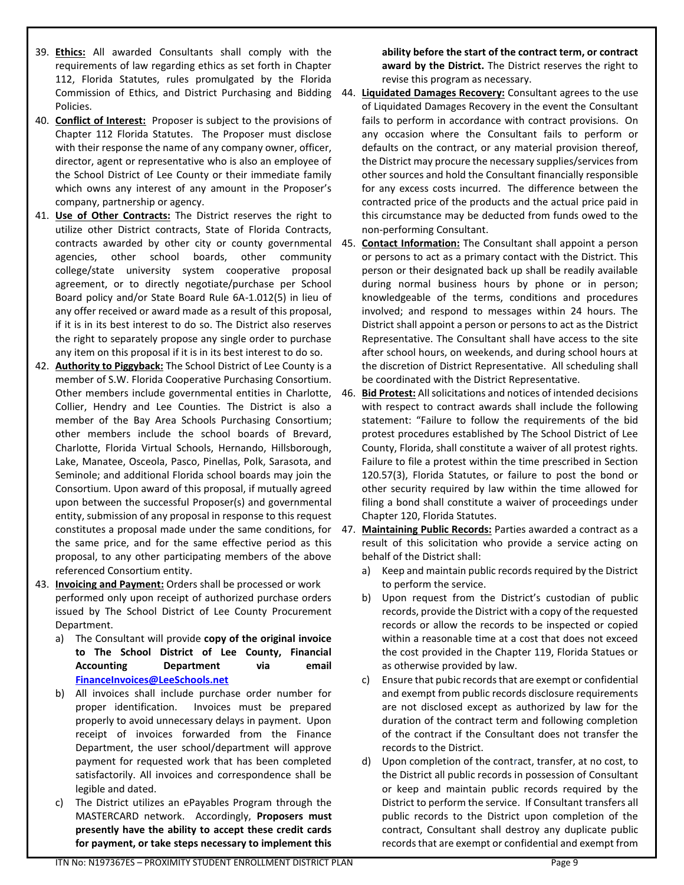- 39. **Ethics:** All awarded Consultants shall comply with the requirements of law regarding ethics as set forth in Chapter 112, Florida Statutes, rules promulgated by the Florida Policies.
- 40. **Conflict of Interest:** Proposer is subject to the provisions of Chapter 112 Florida Statutes. The Proposer must disclose with their response the name of any company owner, officer, director, agent or representative who is also an employee of the School District of Lee County or their immediate family which owns any interest of any amount in the Proposer's company, partnership or agency.
- 41. **Use of Other Contracts:** The District reserves the right to utilize other District contracts, State of Florida Contracts, agencies, other school boards, other community college/state university system cooperative proposal agreement, or to directly negotiate/purchase per School Board policy and/or State Board Rule 6A-1.012(5) in lieu of any offer received or award made as a result of this proposal, if it is in its best interest to do so. The District also reserves the right to separately propose any single order to purchase any item on this proposal if it is in its best interest to do so.
- 42. **Authority to Piggyback:** The School District of Lee County is a member of S.W. Florida Cooperative Purchasing Consortium. Collier, Hendry and Lee Counties. The District is also a member of the Bay Area Schools Purchasing Consortium; other members include the school boards of Brevard, Charlotte, Florida Virtual Schools, Hernando, Hillsborough, Lake, Manatee, Osceola, Pasco, Pinellas, Polk, Sarasota, and Seminole; and additional Florida school boards may join the Consortium. Upon award of this proposal, if mutually agreed upon between the successful Proposer(s) and governmental entity, submission of any proposal in response to this request the same price, and for the same effective period as this proposal, to any other participating members of the above referenced Consortium entity.
- 43. **Invoicing and Payment:** Orders shall be processed or work performed only upon receipt of authorized purchase orders issued by The School District of Lee County Procurement Department.
	- a) The Consultant will provide **copy of the original invoice to The School District of Lee County, Financial Accounting Department via email [FinanceInvoices@LeeSchools.net](mailto:FinanceInvoices@LeeSchools.net)**
	- b) All invoices shall include purchase order number for proper identification. Invoices must be prepared properly to avoid unnecessary delays in payment. Upon receipt of invoices forwarded from the Finance Department, the user school/department will approve payment for requested work that has been completed satisfactorily. All invoices and correspondence shall be legible and dated.
	- c) The District utilizes an ePayables Program through the MASTERCARD network. Accordingly, **Proposers must presently have the ability to accept these credit cards for payment, or take steps necessary to implement this**

**ability before the start of the contract term, or contract award by the District.** The District reserves the right to revise this program as necessary.

- Commission of Ethics, and District Purchasing and Bidding 44. **Liquidated Damages Recovery:** Consultant agrees to the use of Liquidated Damages Recovery in the event the Consultant fails to perform in accordance with contract provisions. On any occasion where the Consultant fails to perform or defaults on the contract, or any material provision thereof, the District may procure the necessary supplies/services from other sources and hold the Consultant financially responsible for any excess costs incurred. The difference between the contracted price of the products and the actual price paid in this circumstance may be deducted from funds owed to the non-performing Consultant.
- contracts awarded by other city or county governmental 45. **Contact Information:** The Consultant shall appoint a person or persons to act as a primary contact with the District. This person or their designated back up shall be readily available during normal business hours by phone or in person; knowledgeable of the terms, conditions and procedures involved; and respond to messages within 24 hours. The District shall appoint a person or persons to act as the District Representative. The Consultant shall have access to the site after school hours, on weekends, and during school hours at the discretion of District Representative. All scheduling shall be coordinated with the District Representative.
- Other members include governmental entities in Charlotte, 46. **Bid Protest:** All solicitations and notices of intended decisions with respect to contract awards shall include the following statement: "Failure to follow the requirements of the bid protest procedures established by The School District of Lee County, Florida, shall constitute a waiver of all protest rights. Failure to file a protest within the time prescribed in Section 120.57(3), Florida Statutes, or failure to post the bond or other security required by law within the time allowed for filing a bond shall constitute a waiver of proceedings under Chapter 120, Florida Statutes.
- constitutes a proposal made under the same conditions, for 47. **Maintaining Public Records:** Parties awarded a contract as a result of this solicitation who provide a service acting on behalf of the District shall:
	- a) Keep and maintain public records required by the District to perform the service.
	- b) Upon request from the District's custodian of public records, provide the District with a copy of the requested records or allow the records to be inspected or copied within a reasonable time at a cost that does not exceed the cost provided in the Chapter 119, Florida Statues or as otherwise provided by law.
	- c) Ensure that pubic records that are exempt or confidential and exempt from public records disclosure requirements are not disclosed except as authorized by law for the duration of the contract term and following completion of the contract if the Consultant does not transfer the records to the District.
	- d) Upon completion of the contract, transfer, at no cost, to the District all public records in possession of Consultant or keep and maintain public records required by the District to perform the service. If Consultant transfers all public records to the District upon completion of the contract, Consultant shall destroy any duplicate public records that are exempt or confidential and exempt from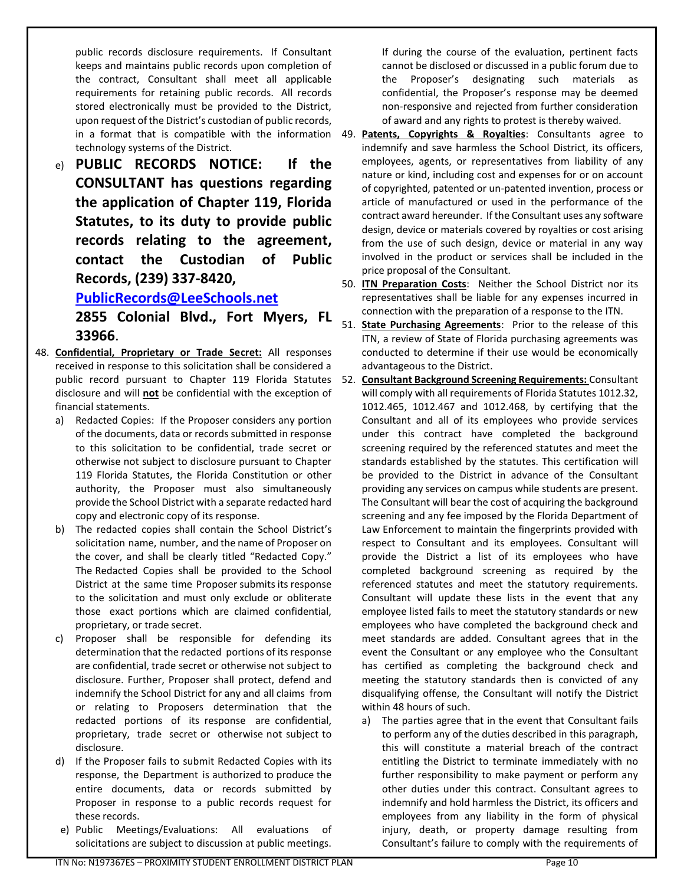public records disclosure requirements. If Consultant keeps and maintains public records upon completion of the contract, Consultant shall meet all applicable requirements for retaining public records. All records stored electronically must be provided to the District, upon request of the District's custodian of public records, technology systems of the District.

e) **PUBLIC RECORDS NOTICE: If the CONSULTANT has questions regarding the application of Chapter 119, Florida Statutes, to its duty to provide public records relating to the agreement, contact the Custodian of Public Records, (239) 337-8420,** 

# **[PublicRecords@LeeSchools.net](mailto:PublicRecords@LeeSchools.net)**

**2855 Colonial Blvd., Fort Myers, FL 33966**.

- 48. **Confidential, Proprietary or Trade Secret:** All responses received in response to this solicitation shall be considered a disclosure and will **not** be confidential with the exception of financial statements.
	- a) Redacted Copies: If the Proposer considers any portion of the documents, data or records submitted in response to this solicitation to be confidential, trade secret or otherwise not subject to disclosure pursuant to Chapter 119 Florida Statutes, the Florida Constitution or other authority, the Proposer must also simultaneously provide the School District with a separate redacted hard copy and electronic copy of its response.
	- b) The redacted copies shall contain the School District's solicitation name, number, and the name of Proposer on the cover, and shall be clearly titled "Redacted Copy." The Redacted Copies shall be provided to the School District at the same time Proposer submits its response to the solicitation and must only exclude or obliterate those exact portions which are claimed confidential, proprietary, or trade secret.
	- c) Proposer shall be responsible for defending its determination that the redacted portions of its response are confidential, trade secret or otherwise not subject to disclosure. Further, Proposer shall protect, defend and indemnify the School District for any and all claims from or relating to Proposers determination that the redacted portions of its response are confidential, proprietary, trade secret or otherwise not subject to disclosure.
	- d) If the Proposer fails to submit Redacted Copies with its response, the Department is authorized to produce the entire documents, data or records submitted by Proposer in response to a public records request for these records.
	- e) Public Meetings/Evaluations: All evaluations of solicitations are subject to discussion at public meetings.

If during the course of the evaluation, pertinent facts cannot be disclosed or discussed in a public forum due to the Proposer's designating such materials as confidential, the Proposer's response may be deemed non-responsive and rejected from further consideration of award and any rights to protest is thereby waived.

in a format that is compatible with the information 49. Patents, Copyrights & Royalties: Consultants agree to indemnify and save harmless the School District, its officers, employees, agents, or representatives from liability of any nature or kind, including cost and expenses for or on account of copyrighted, patented or un-patented invention, process or article of manufactured or used in the performance of the contract award hereunder. If the Consultant uses any software design, device or materials covered by royalties or cost arising from the use of such design, device or material in any way involved in the product or services shall be included in the price proposal of the Consultant.

50. **ITN Preparation Costs**: Neither the School District nor its representatives shall be liable for any expenses incurred in connection with the preparation of a response to the ITN.

- 51. **State Purchasing Agreements**: Prior to the release of this ITN, a review of State of Florida purchasing agreements was conducted to determine if their use would be economically advantageous to the District.
- public record pursuant to Chapter 119 Florida Statutes 52. **Consultant Background Screening Requirements:** Consultant will comply with all requirements of Florida Statutes 1012.32, 1012.465, 1012.467 and 1012.468, by certifying that the Consultant and all of its employees who provide services under this contract have completed the background screening required by the referenced statutes and meet the standards established by the statutes. This certification will be provided to the District in advance of the Consultant providing any services on campus while students are present. The Consultant will bear the cost of acquiring the background screening and any fee imposed by the Florida Department of Law Enforcement to maintain the fingerprints provided with respect to Consultant and its employees. Consultant will provide the District a list of its employees who have completed background screening as required by the referenced statutes and meet the statutory requirements. Consultant will update these lists in the event that any employee listed fails to meet the statutory standards or new employees who have completed the background check and meet standards are added. Consultant agrees that in the event the Consultant or any employee who the Consultant has certified as completing the background check and meeting the statutory standards then is convicted of any disqualifying offense, the Consultant will notify the District within 48 hours of such.
	- a) The parties agree that in the event that Consultant fails to perform any of the duties described in this paragraph, this will constitute a material breach of the contract entitling the District to terminate immediately with no further responsibility to make payment or perform any other duties under this contract. Consultant agrees to indemnify and hold harmless the District, its officers and employees from any liability in the form of physical injury, death, or property damage resulting from Consultant's failure to comply with the requirements of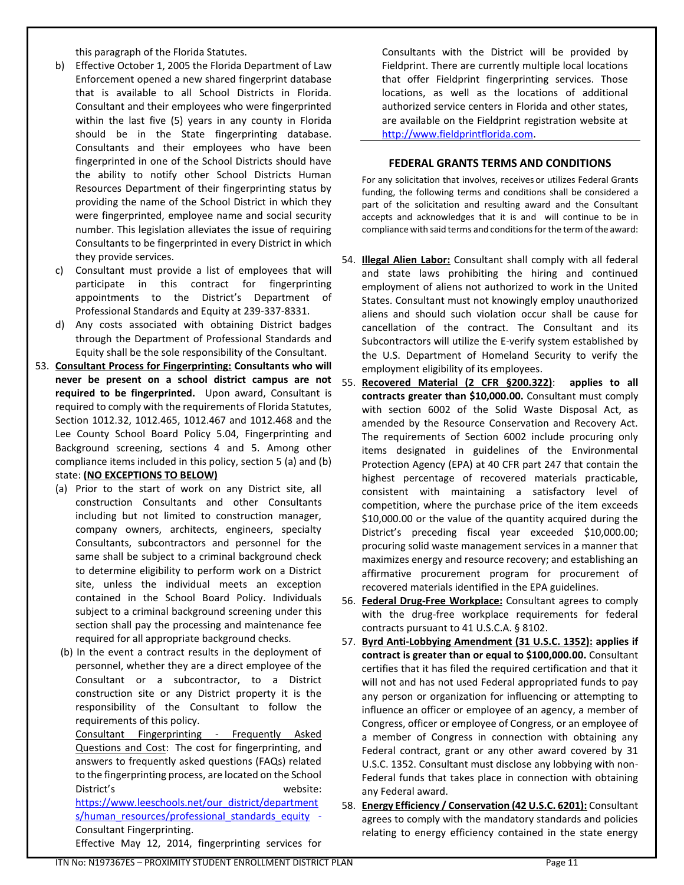this paragraph of the Florida Statutes.

- b) Effective October 1, 2005 the Florida Department of Law Enforcement opened a new shared fingerprint database that is available to all School Districts in Florida. Consultant and their employees who were fingerprinted within the last five (5) years in any county in Florida should be in the State fingerprinting database. Consultants and their employees who have been fingerprinted in one of the School Districts should have the ability to notify other School Districts Human Resources Department of their fingerprinting status by providing the name of the School District in which they were fingerprinted, employee name and social security number. This legislation alleviates the issue of requiring Consultants to be fingerprinted in every District in which they provide services.
- c) Consultant must provide a list of employees that will participate in this contract for fingerprinting appointments to the District's Department of Professional Standards and Equity at 239-337-8331.
- d) Any costs associated with obtaining District badges through the Department of Professional Standards and Equity shall be the sole responsibility of the Consultant.
- 53. **Consultant Process for Fingerprinting: Consultants who will required to be fingerprinted.** Upon award, Consultant is required to comply with the requirements of Florida Statutes, Section 1012.32, 1012.465, 1012.467 and 1012.468 and the Lee County School Board Policy 5.04, Fingerprinting and Background screening, sections 4 and 5. Among other compliance items included in this policy, section 5 (a) and (b) state: **(NO EXCEPTIONS TO BELOW)**
	- (a) Prior to the start of work on any District site, all construction Consultants and other Consultants including but not limited to construction manager, company owners, architects, engineers, specialty Consultants, subcontractors and personnel for the same shall be subject to a criminal background check to determine eligibility to perform work on a District site, unless the individual meets an exception contained in the School Board Policy. Individuals subject to a criminal background screening under this section shall pay the processing and maintenance fee required for all appropriate background checks.
	- (b) In the event a contract results in the deployment of personnel, whether they are a direct employee of the Consultant or a subcontractor, to a District construction site or any District property it is the responsibility of the Consultant to follow the requirements of this policy.

Consultant Fingerprinting - Frequently Asked Questions and Cost: The cost for fingerprinting, and answers to frequently asked questions (FAQs) related to the fingerprinting process, are located on the School District's website:

https://www.leeschools.net/our\_district/department s/human\_resources/professional\_standards\_equity -Consultant Fingerprinting.

Effective May 12, 2014, fingerprinting services for

Consultants with the District will be provided by Fieldprint. There are currently multiple local locations that offer Fieldprint fingerprinting services. Those locations, as well as the locations of additional authorized service centers in Florida and other states, are available on the Fieldprint registration website at [http://www.fieldprintflorida.com.](http://www.fieldprintflorida.com/)

#### **FEDERAL GRANTS TERMS AND CONDITIONS**

For any solicitation that involves, receives or utilizes Federal Grants funding, the following terms and conditions shall be considered a part of the solicitation and resulting award and the Consultant accepts and acknowledges that it is and will continue to be in compliance with said terms and conditions for the term of the award:

- 54. **Illegal Alien Labor:** Consultant shall comply with all federal and state laws prohibiting the hiring and continued employment of aliens not authorized to work in the United States. Consultant must not knowingly employ unauthorized aliens and should such violation occur shall be cause for cancellation of the contract. The Consultant and its Subcontractors will utilize the E-verify system established by the U.S. Department of Homeland Security to verify the employment eligibility of its employees.
- **never be present on a school district campus are not**  55. **Recovered Material (2 CFR §200.322)**: **applies to all contracts greater than \$10,000.00.** Consultant must comply with section 6002 of the Solid Waste Disposal Act, as amended by the Resource Conservation and Recovery Act. The requirements of Section 6002 include procuring only items designated in guidelines of the Environmental Protection Agency (EPA) at 40 CFR part 247 that contain the highest percentage of recovered materials practicable, consistent with maintaining a satisfactory level of competition, where the purchase price of the item exceeds \$10,000.00 or the value of the quantity acquired during the District's preceding fiscal year exceeded \$10,000.00; procuring solid waste management services in a manner that maximizes energy and resource recovery; and establishing an affirmative procurement program for procurement of recovered materials identified in the EPA guidelines.
	- 56. **Federal Drug-Free Workplace:** Consultant agrees to comply with the drug-free workplace requirements for federal contracts pursuant to 41 U.S.C.A. § 8102.
	- 57. **Byrd Anti-Lobbying Amendment (31 U.S.C. 1352): applies if contract is greater than or equal to \$100,000.00.** Consultant certifies that it has filed the required certification and that it will not and has not used Federal appropriated funds to pay any person or organization for influencing or attempting to influence an officer or employee of an agency, a member of Congress, officer or employee of Congress, or an employee of a member of Congress in connection with obtaining any Federal contract, grant or any other award covered by 31 U.S.C. 1352. Consultant must disclose any lobbying with non-Federal funds that takes place in connection with obtaining any Federal award.
	- 58. **Energy Efficiency / Conservation (42 U.S.C. 6201):** Consultant agrees to comply with the mandatory standards and policies relating to energy efficiency contained in the state energy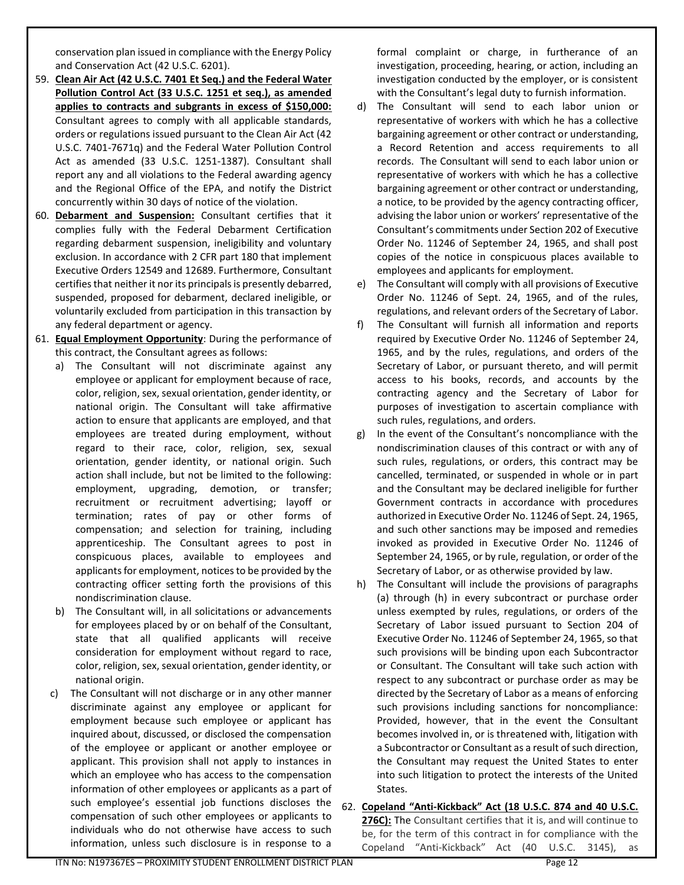conservation plan issued in compliance with the Energy Policy and Conservation Act (42 U.S.C. 6201).

- 59. **Clean Air Act (42 U.S.C. 7401 Et Seq.) and the Federal Water Pollution Control Act (33 U.S.C. 1251 et seq.), as amended applies to contracts and subgrants in excess of \$150,000:** Consultant agrees to comply with all applicable standards, orders or regulations issued pursuant to the Clean Air Act (42 U.S.C. 7401-7671q) and the Federal Water Pollution Control Act as amended (33 U.S.C. 1251-1387). Consultant shall report any and all violations to the Federal awarding agency and the Regional Office of the EPA, and notify the District concurrently within 30 days of notice of the violation.
- 60. **Debarment and Suspension:** Consultant certifies that it complies fully with the Federal Debarment Certification regarding debarment suspension, ineligibility and voluntary exclusion. In accordance with 2 CFR part 180 that implement Executive Orders 12549 and 12689. Furthermore, Consultant certifies that neither it nor its principals is presently debarred, suspended, proposed for debarment, declared ineligible, or voluntarily excluded from participation in this transaction by any federal department or agency.
- 61. **Equal Employment Opportunity**: During the performance of this contract, the Consultant agrees as follows:
	- a) The Consultant will not discriminate against any employee or applicant for employment because of race, color, religion, sex, sexual orientation, gender identity, or national origin. The Consultant will take affirmative action to ensure that applicants are employed, and that employees are treated during employment, without regard to their race, color, religion, sex, sexual orientation, gender identity, or national origin. Such action shall include, but not be limited to the following: employment, upgrading, demotion, or transfer; recruitment or recruitment advertising; layoff or termination; rates of pay or other forms of compensation; and selection for training, including apprenticeship. The Consultant agrees to post in conspicuous places, available to employees and applicants for employment, notices to be provided by the contracting officer setting forth the provisions of this nondiscrimination clause.
	- b) The Consultant will, in all solicitations or advancements for employees placed by or on behalf of the Consultant, state that all qualified applicants will receive consideration for employment without regard to race, color, religion, sex, sexual orientation, gender identity, or national origin.
	- c) The Consultant will not discharge or in any other manner discriminate against any employee or applicant for employment because such employee or applicant has inquired about, discussed, or disclosed the compensation of the employee or applicant or another employee or applicant. This provision shall not apply to instances in which an employee who has access to the compensation information of other employees or applicants as a part of such employee's essential job functions discloses the compensation of such other employees or applicants to individuals who do not otherwise have access to such information, unless such disclosure is in response to a

formal complaint or charge, in furtherance of an investigation, proceeding, hearing, or action, including an investigation conducted by the employer, or is consistent with the Consultant's legal duty to furnish information.

- d) The Consultant will send to each labor union or representative of workers with which he has a collective bargaining agreement or other contract or understanding, a Record Retention and access requirements to all records. The Consultant will send to each labor union or representative of workers with which he has a collective bargaining agreement or other contract or understanding, a notice, to be provided by the agency contracting officer, advising the labor union or workers' representative of the Consultant's commitments under Section 202 of Executive Order No. 11246 of September 24, 1965, and shall post copies of the notice in conspicuous places available to employees and applicants for employment.
- e) The Consultant will comply with all provisions of Executive Order No. 11246 of Sept. 24, 1965, and of the rules, regulations, and relevant orders of the Secretary of Labor.
- f) The Consultant will furnish all information and reports required by Executive Order No. 11246 of September 24, 1965, and by the rules, regulations, and orders of the Secretary of Labor, or pursuant thereto, and will permit access to his books, records, and accounts by the contracting agency and the Secretary of Labor for purposes of investigation to ascertain compliance with such rules, regulations, and orders.
- g) In the event of the Consultant's noncompliance with the nondiscrimination clauses of this contract or with any of such rules, regulations, or orders, this contract may be cancelled, terminated, or suspended in whole or in part and the Consultant may be declared ineligible for further Government contracts in accordance with procedures authorized in Executive Order No. 11246 of Sept. 24, 1965, and such other sanctions may be imposed and remedies invoked as provided in Executive Order No. 11246 of September 24, 1965, or by rule, regulation, or order of the Secretary of Labor, or as otherwise provided by law.
- h) The Consultant will include the provisions of paragraphs (a) through (h) in every subcontract or purchase order unless exempted by rules, regulations, or orders of the Secretary of Labor issued pursuant to Section 204 of Executive Order No. 11246 of September 24, 1965, so that such provisions will be binding upon each Subcontractor or Consultant. The Consultant will take such action with respect to any subcontract or purchase order as may be directed by the Secretary of Labor as a means of enforcing such provisions including sanctions for noncompliance: Provided, however, that in the event the Consultant becomes involved in, or is threatened with, litigation with a Subcontractor or Consultant as a result of such direction, the Consultant may request the United States to enter into such litigation to protect the interests of the United States.
- 62. **Copeland "Anti-Kickback" Act (18 U.S.C. 874 and 40 U.S.C. 276C):** The Consultant certifies that it is, and will continue to be, for the term of this contract in for compliance with the Copeland "Anti-Kickback" Act (40 U.S.C. 3145), as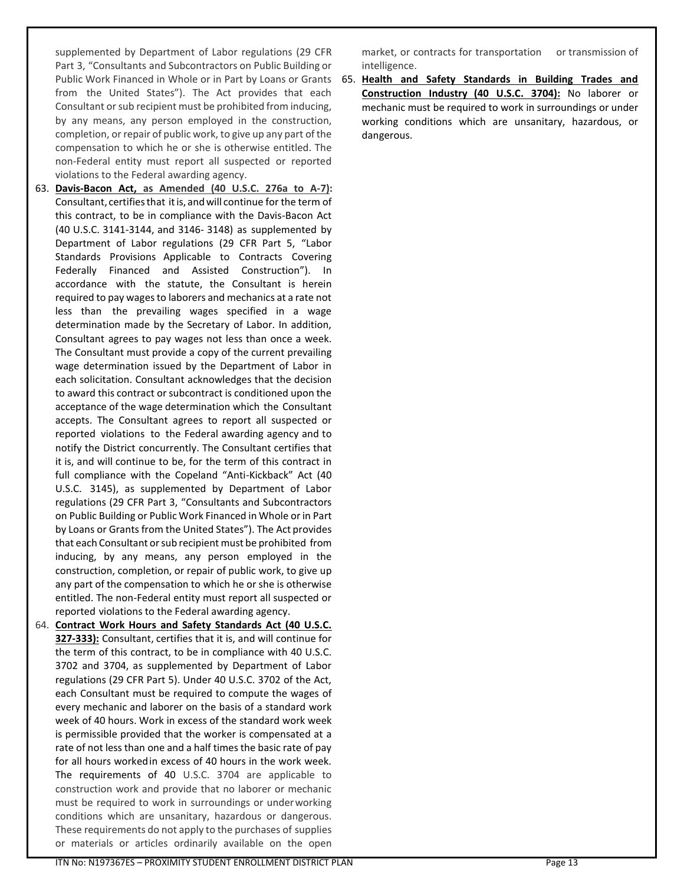supplemented by Department of Labor regulations (29 CFR Part 3, "Consultants and Subcontractors on Public Building or from the United States"). The Act provides that each Consultant or sub recipient must be prohibited from inducing, by any means, any person employed in the construction, completion, or repair of public work, to give up any part of the compensation to which he or she is otherwise entitled. The non-Federal entity must report all suspected or reported violations to the Federal awarding agency.

- 63. **Davis-Bacon Act, as Amended (40 U.S.C. 276a to A-7):**  Consultant, certifiesthat itis, andwill continue for the term of this contract, to be in compliance with the Davis-Bacon Act (40 U.S.C. 3141-3144, and 3146- 3148) as supplemented by Department of Labor regulations (29 CFR Part 5, "Labor Standards Provisions Applicable to Contracts Covering Federally Financed and Assisted Construction"). In accordance with the statute, the Consultant is herein required to pay wages to laborers and mechanics at a rate not less than the prevailing wages specified in a wage determination made by the Secretary of Labor. In addition, Consultant agrees to pay wages not less than once a week. The Consultant must provide a copy of the current prevailing wage determination issued by the Department of Labor in each solicitation. Consultant acknowledges that the decision to award this contract or subcontract is conditioned upon the acceptance of the wage determination which the Consultant accepts. The Consultant agrees to report all suspected or reported violations to the Federal awarding agency and to notify the District concurrently. The Consultant certifies that it is, and will continue to be, for the term of this contract in full compliance with the Copeland "Anti-Kickback" Act (40 U.S.C. 3145), as supplemented by Department of Labor regulations (29 CFR Part 3, "Consultants and Subcontractors on Public Building or Public Work Financed in Whole orin Part by Loans or Grants from the United States"). The Act provides that each Consultant or sub recipient must be prohibited from inducing, by any means, any person employed in the construction, completion, or repair of public work, to give up any part of the compensation to which he or she is otherwise entitled. The non-Federal entity must report all suspected or reported violations to the Federal awarding agency.
- 64. **Contract Work Hours and Safety Standards Act (40 U.S.C. 327-333):** Consultant, certifies that it is, and will continue for the term of this contract, to be in compliance with 40 U.S.C. 3702 and 3704, as supplemented by Department of Labor regulations (29 CFR Part 5). Under 40 U.S.C. 3702 of the Act, each Consultant must be required to compute the wages of every mechanic and laborer on the basis of a standard work week of 40 hours. Work in excess of the standard work week is permissible provided that the worker is compensated at a rate of not less than one and a half times the basic rate of pay for all hours workedin excess of 40 hours in the work week. The requirements of 40 U.S.C. 3704 are applicable to construction work and provide that no laborer or mechanic must be required to work in surroundings or underworking conditions which are unsanitary, hazardous or dangerous. These requirements do not apply to the purchases of supplies or materials or articles ordinarily available on the open

market, or contracts for transportation or transmission of intelligence.

Public Work Financed in Whole or in Part by Loans or Grants 65. Health and Safety Standards in Building Trades and **Construction Industry (40 U.S.C. 3704):** No laborer or mechanic must be required to work in surroundings or under working conditions which are unsanitary, hazardous, or dangerous.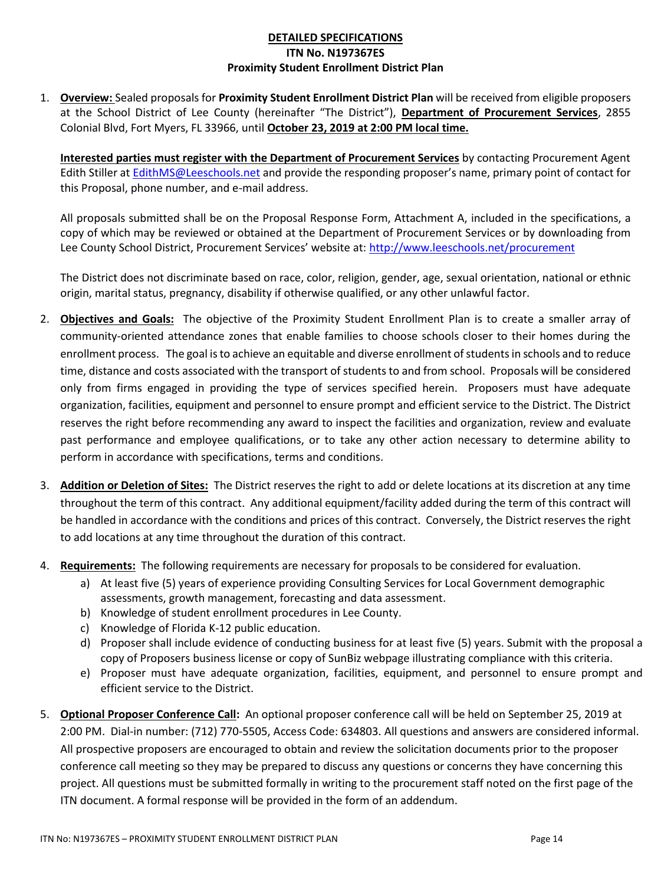## **DETAILED SPECIFICATIONS ITN No. N197367ES Proximity Student Enrollment District Plan**

1. **Overview:** Sealed proposals for **Proximity Student Enrollment District Plan** will be received from eligible proposers at the School District of Lee County (hereinafter "The District"), **Department of Procurement Services**, 2855 Colonial Blvd, Fort Myers, FL 33966, until **October 23, 2019 at 2:00 PM local time.**

**Interested parties must register with the Department of Procurement Services** by contacting Procurement Agent Edith Stiller at [EdithMS@Leeschools.net](mailto:EdithMS@Leeschools.net) and provide the responding proposer's name, primary point of contact for this Proposal, phone number, and e-mail address.

All proposals submitted shall be on the Proposal Response Form, Attachment A, included in the specifications, a copy of which may be reviewed or obtained at the Department of Procurement Services or by downloading from Lee County School District, Procurement Services' website at: <http://www.leeschools.net/procurement>

The District does not discriminate based on race, color, religion, gender, age, sexual orientation, national or ethnic origin, marital status, pregnancy, disability if otherwise qualified, or any other unlawful factor.

- 2. **Objectives and Goals:** The objective of the Proximity Student Enrollment Plan is to create a smaller array of community-oriented attendance zones that enable families to choose schools closer to their homes during the enrollment process. The goal is to achieve an equitable and diverse enrollment of students in schools and to reduce time, distance and costs associated with the transport of students to and from school. Proposals will be considered only from firms engaged in providing the type of services specified herein. Proposers must have adequate organization, facilities, equipment and personnel to ensure prompt and efficient service to the District. The District reserves the right before recommending any award to inspect the facilities and organization, review and evaluate past performance and employee qualifications, or to take any other action necessary to determine ability to perform in accordance with specifications, terms and conditions.
- 3. **Addition or Deletion of Sites:** The District reserves the right to add or delete locations at its discretion at any time throughout the term of this contract. Any additional equipment/facility added during the term of this contract will be handled in accordance with the conditions and prices of this contract. Conversely, the District reserves the right to add locations at any time throughout the duration of this contract.
- 4. **Requirements:** The following requirements are necessary for proposals to be considered for evaluation.
	- a) At least five (5) years of experience providing Consulting Services for Local Government demographic assessments, growth management, forecasting and data assessment.
	- b) Knowledge of student enrollment procedures in Lee County.
	- c) Knowledge of Florida K-12 public education.
	- d) Proposer shall include evidence of conducting business for at least five (5) years. Submit with the proposal a copy of Proposers business license or copy of SunBiz webpage illustrating compliance with this criteria.
	- e) Proposer must have adequate organization, facilities, equipment, and personnel to ensure prompt and efficient service to the District.
- 5. **Optional Proposer Conference Call:** An optional proposer conference call will be held on September 25, 2019 at 2:00 PM. Dial-in number: (712) 770-5505, Access Code: 634803. All questions and answers are considered informal. All prospective proposers are encouraged to obtain and review the solicitation documents prior to the proposer conference call meeting so they may be prepared to discuss any questions or concerns they have concerning this project. All questions must be submitted formally in writing to the procurement staff noted on the first page of the ITN document. A formal response will be provided in the form of an addendum.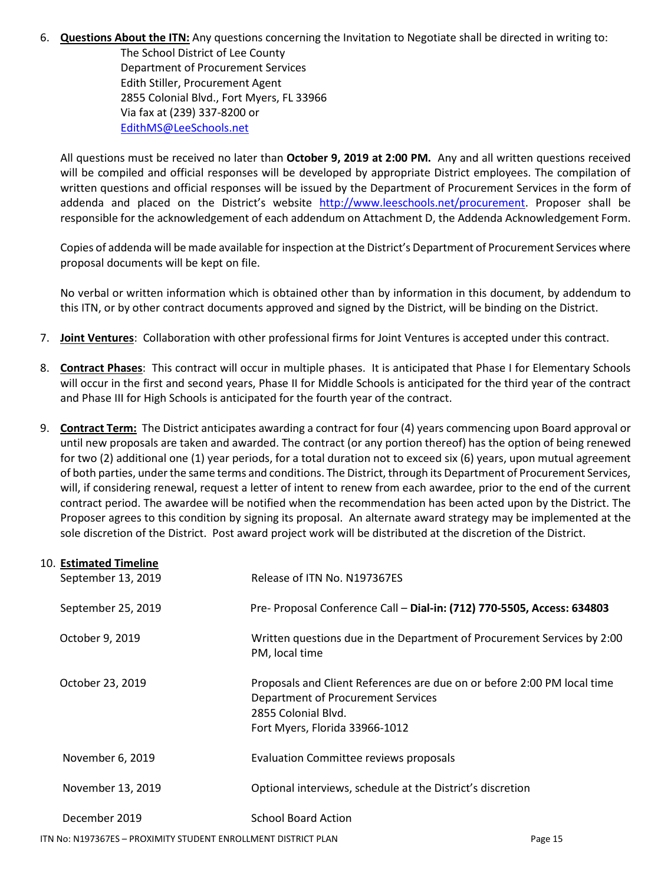## 6. **Questions About the ITN:** Any questions concerning the Invitation to Negotiate shall be directed in writing to:

The School District of Lee County Department of Procurement Services Edith Stiller, Procurement Agent 2855 Colonial Blvd., Fort Myers, FL 33966 Via fax at (239) 337-8200 or [EdithMS@LeeSchools.net](mailto:EdithMS@LeeSchools.net)

All questions must be received no later than **October 9, 2019 at 2:00 PM.** Any and all written questions received will be compiled and official responses will be developed by appropriate District employees. The compilation of written questions and official responses will be issued by the Department of Procurement Services in the form of addenda and placed on the District's website [http://www.leeschools.net/procurement.](http://www.leeschools.net/procurement) Proposer shall be responsible for the acknowledgement of each addendum on Attachment D, the Addenda Acknowledgement Form.

Copies of addenda will be made available for inspection at the District's Department of Procurement Services where proposal documents will be kept on file.

No verbal or written information which is obtained other than by information in this document, by addendum to this ITN, or by other contract documents approved and signed by the District, will be binding on the District.

- 7. **Joint Ventures**: Collaboration with other professional firms for Joint Ventures is accepted under this contract.
- 8. **Contract Phases**: This contract will occur in multiple phases. It is anticipated that Phase I for Elementary Schools will occur in the first and second years, Phase II for Middle Schools is anticipated for the third year of the contract and Phase III for High Schools is anticipated for the fourth year of the contract.
- 9. **Contract Term:** The District anticipates awarding a contract for four (4) years commencing upon Board approval or until new proposals are taken and awarded. The contract (or any portion thereof) has the option of being renewed for two (2) additional one (1) year periods, for a total duration not to exceed six (6) years, upon mutual agreement of both parties, under the same terms and conditions. The District, through its Department of Procurement Services, will, if considering renewal, request a letter of intent to renew from each awardee, prior to the end of the current contract period. The awardee will be notified when the recommendation has been acted upon by the District. The Proposer agrees to this condition by signing its proposal. An alternate award strategy may be implemented at the sole discretion of the District. Post award project work will be distributed at the discretion of the District.

| 10. Estimated Timeline |                                                                                                                                                                        |
|------------------------|------------------------------------------------------------------------------------------------------------------------------------------------------------------------|
| September 13, 2019     | Release of ITN No. N197367ES                                                                                                                                           |
| September 25, 2019     | Pre- Proposal Conference Call - Dial-in: (712) 770-5505, Access: 634803                                                                                                |
| October 9, 2019        | Written questions due in the Department of Procurement Services by 2:00<br>PM, local time                                                                              |
| October 23, 2019       | Proposals and Client References are due on or before 2:00 PM local time<br>Department of Procurement Services<br>2855 Colonial Blvd.<br>Fort Myers, Florida 33966-1012 |
| November 6, 2019       | Evaluation Committee reviews proposals                                                                                                                                 |
| November 13, 2019      | Optional interviews, schedule at the District's discretion                                                                                                             |
| December 2019          | <b>School Board Action</b>                                                                                                                                             |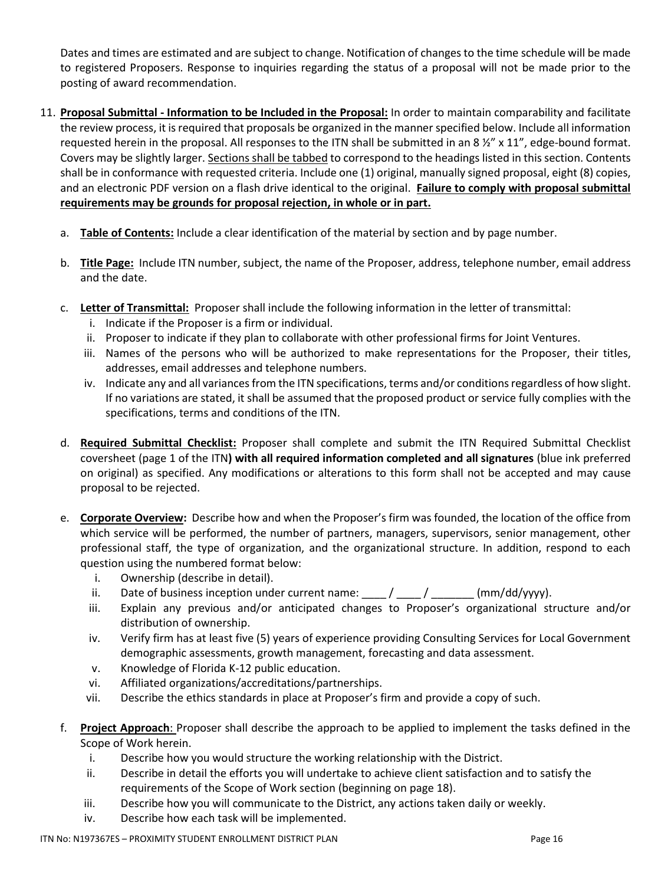Dates and times are estimated and are subject to change. Notification of changes to the time schedule will be made to registered Proposers. Response to inquiries regarding the status of a proposal will not be made prior to the posting of award recommendation.

- 11. **Proposal Submittal - Information to be Included in the Proposal:** In order to maintain comparability and facilitate the review process, it is required that proposals be organized in the manner specified below. Include all information requested herein in the proposal. All responses to the ITN shall be submitted in an 8  $\frac{1}{2}$ " x 11", edge-bound format. Covers may be slightly larger. Sections shall be tabbed to correspond to the headings listed in this section. Contents shall be in conformance with requested criteria. Include one (1) original, manually signed proposal, eight (8) copies, and an electronic PDF version on a flash drive identical to the original. **Failure to comply with proposal submittal requirements may be grounds for proposal rejection, in whole or in part.**
	- a. **Table of Contents:** Include a clear identification of the material by section and by page number.
	- b. **Title Page:** Include ITN number, subject, the name of the Proposer, address, telephone number, email address and the date.
	- c. **Letter of Transmittal:** Proposer shall include the following information in the letter of transmittal:
		- i. Indicate if the Proposer is a firm or individual.
		- ii. Proposer to indicate if they plan to collaborate with other professional firms for Joint Ventures.
		- iii. Names of the persons who will be authorized to make representations for the Proposer, their titles, addresses, email addresses and telephone numbers.
		- iv. Indicate any and all variances from the ITN specifications, terms and/or conditions regardless of how slight. If no variations are stated, it shall be assumed that the proposed product or service fully complies with the specifications, terms and conditions of the ITN.
	- d. **Required Submittal Checklist:** Proposer shall complete and submit the ITN Required Submittal Checklist coversheet (page 1 of the ITN**) with all required information completed and all signatures** (blue ink preferred on original) as specified. Any modifications or alterations to this form shall not be accepted and may cause proposal to be rejected.
	- e. **Corporate Overview:** Describe how and when the Proposer's firm was founded, the location of the office from which service will be performed, the number of partners, managers, supervisors, senior management, other professional staff, the type of organization, and the organizational structure. In addition, respond to each question using the numbered format below:
		- i. Ownership (describe in detail).
		- ii. Date of business inception under current name:  $/$  /  $/$  (mm/dd/yyyy).
		- iii. Explain any previous and/or anticipated changes to Proposer's organizational structure and/or distribution of ownership.
		- iv. Verify firm has at least five (5) years of experience providing Consulting Services for Local Government demographic assessments, growth management, forecasting and data assessment.
		- v. Knowledge of Florida K-12 public education.
		- vi. Affiliated organizations/accreditations/partnerships.
		- vii. Describe the ethics standards in place at Proposer's firm and provide a copy of such.
	- f. **Project Approach**: Proposer shall describe the approach to be applied to implement the tasks defined in the Scope of Work herein.
		- i. Describe how you would structure the working relationship with the District.
		- ii. Describe in detail the efforts you will undertake to achieve client satisfaction and to satisfy the requirements of the Scope of Work section (beginning on page 18).
		- iii. Describe how you will communicate to the District, any actions taken daily or weekly.
		- iv. Describe how each task will be implemented.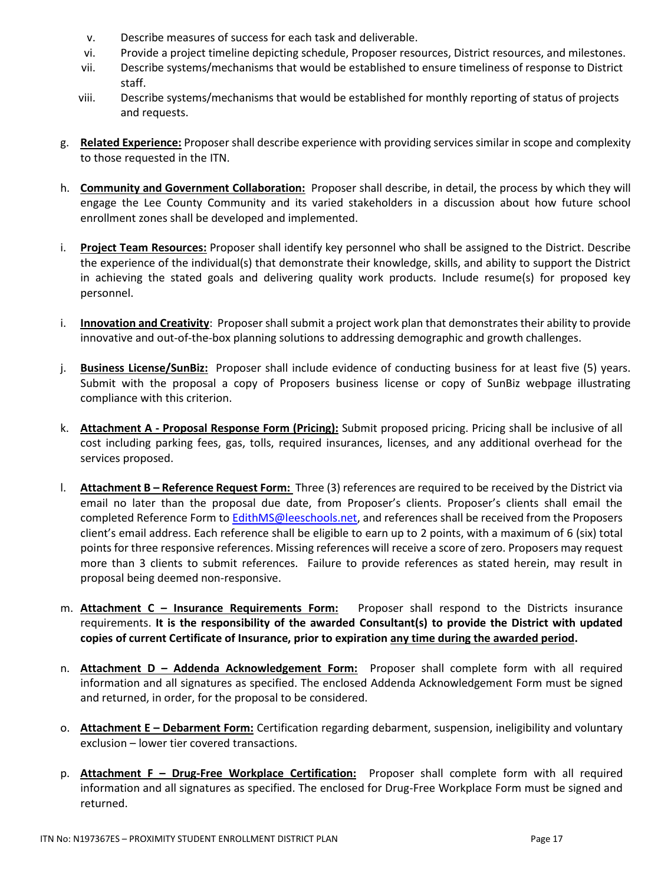- v. Describe measures of success for each task and deliverable.
- vi. Provide a project timeline depicting schedule, Proposer resources, District resources, and milestones.
- vii. Describe systems/mechanisms that would be established to ensure timeliness of response to District staff.
- viii. Describe systems/mechanisms that would be established for monthly reporting of status of projects and requests.
- g. **Related Experience:** Proposer shall describe experience with providing services similar in scope and complexity to those requested in the ITN.
- h. **Community and Government Collaboration:** Proposer shall describe, in detail, the process by which they will engage the Lee County Community and its varied stakeholders in a discussion about how future school enrollment zones shall be developed and implemented.
- i. **Project Team Resources:** Proposer shall identify key personnel who shall be assigned to the District. Describe the experience of the individual(s) that demonstrate their knowledge, skills, and ability to support the District in achieving the stated goals and delivering quality work products. Include resume(s) for proposed key personnel.
- i. **Innovation and Creativity**: Proposer shall submit a project work plan that demonstrates their ability to provide innovative and out-of-the-box planning solutions to addressing demographic and growth challenges.
- j. **Business License/SunBiz:** Proposer shall include evidence of conducting business for at least five (5) years. Submit with the proposal a copy of Proposers business license or copy of SunBiz webpage illustrating compliance with this criterion.
- k. **Attachment A - Proposal Response Form (Pricing):** Submit proposed pricing. Pricing shall be inclusive of all cost including parking fees, gas, tolls, required insurances, licenses, and any additional overhead for the services proposed.
- l. **Attachment B – Reference Request Form:** Three (3) references are required to be received by the District via email no later than the proposal due date, from Proposer's clients. Proposer's clients shall email the completed Reference Form to [EdithMS@leeschools.net,](mailto:EdithMS@leeschools.net) and references shall be received from the Proposers client's email address. Each reference shall be eligible to earn up to 2 points, with a maximum of 6 (six) total points for three responsive references. Missing references will receive a score of zero. Proposers may request more than 3 clients to submit references. Failure to provide references as stated herein, may result in proposal being deemed non-responsive.
- m. **Attachment C – Insurance Requirements Form:** Proposer shall respond to the Districts insurance requirements. **It is the responsibility of the awarded Consultant(s) to provide the District with updated copies of current Certificate of Insurance, prior to expiration any time during the awarded period.**
- n. **Attachment D – Addenda Acknowledgement Form:** Proposer shall complete form with all required information and all signatures as specified. The enclosed Addenda Acknowledgement Form must be signed and returned, in order, for the proposal to be considered.
- o. **Attachment E – Debarment Form:** Certification regarding debarment, suspension, ineligibility and voluntary exclusion – lower tier covered transactions.
- p. **Attachment F – Drug-Free Workplace Certification:** Proposer shall complete form with all required information and all signatures as specified. The enclosed for Drug-Free Workplace Form must be signed and returned.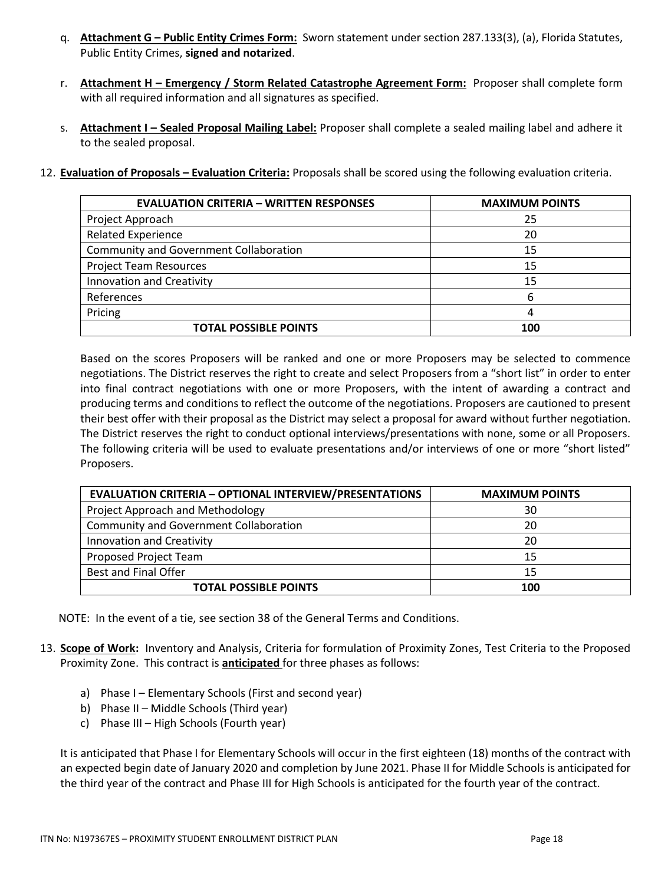- q. **Attachment G – Public Entity Crimes Form:** Sworn statement under section 287.133(3), (a), Florida Statutes, Public Entity Crimes, **signed and notarized**.
- r. **Attachment H – Emergency / Storm Related Catastrophe Agreement Form:** Proposer shall complete form with all required information and all signatures as specified.
- s. **Attachment I – Sealed Proposal Mailing Label:** Proposer shall complete a sealed mailing label and adhere it to the sealed proposal.
- 12. **Evaluation of Proposals – Evaluation Criteria:** Proposals shall be scored using the following evaluation criteria.

| <b>EVALUATION CRITERIA – WRITTEN RESPONSES</b> | <b>MAXIMUM POINTS</b> |
|------------------------------------------------|-----------------------|
| Project Approach                               | 25                    |
| <b>Related Experience</b>                      | 20                    |
| <b>Community and Government Collaboration</b>  | 15                    |
| <b>Project Team Resources</b>                  | 15                    |
| <b>Innovation and Creativity</b>               | 15                    |
| References                                     | 6                     |
| Pricing                                        |                       |
| <b>TOTAL POSSIBLE POINTS</b>                   | 100                   |

Based on the scores Proposers will be ranked and one or more Proposers may be selected to commence negotiations. The District reserves the right to create and select Proposers from a "short list" in order to enter into final contract negotiations with one or more Proposers, with the intent of awarding a contract and producing terms and conditions to reflect the outcome of the negotiations. Proposers are cautioned to present their best offer with their proposal as the District may select a proposal for award without further negotiation. The District reserves the right to conduct optional interviews/presentations with none, some or all Proposers. The following criteria will be used to evaluate presentations and/or interviews of one or more "short listed" Proposers.

| <b>EVALUATION CRITERIA - OPTIONAL INTERVIEW/PRESENTATIONS</b> | <b>MAXIMUM POINTS</b> |
|---------------------------------------------------------------|-----------------------|
| Project Approach and Methodology                              | 30                    |
| <b>Community and Government Collaboration</b>                 | 20                    |
| Innovation and Creativity                                     | 20                    |
| Proposed Project Team                                         | 15                    |
| <b>Best and Final Offer</b>                                   | 15                    |
| <b>TOTAL POSSIBLE POINTS</b>                                  | 100                   |

NOTE: In the event of a tie, see section 38 of the General Terms and Conditions.

- 13. **Scope of Work:** Inventory and Analysis, Criteria for formulation of Proximity Zones, Test Criteria to the Proposed Proximity Zone. This contract is **anticipated** for three phases as follows:
	- a) Phase I Elementary Schools (First and second year)
	- b) Phase II Middle Schools (Third year)
	- c) Phase III High Schools (Fourth year)

It is anticipated that Phase I for Elementary Schools will occur in the first eighteen (18) months of the contract with an expected begin date of January 2020 and completion by June 2021. Phase II for Middle Schools is anticipated for the third year of the contract and Phase III for High Schools is anticipated for the fourth year of the contract.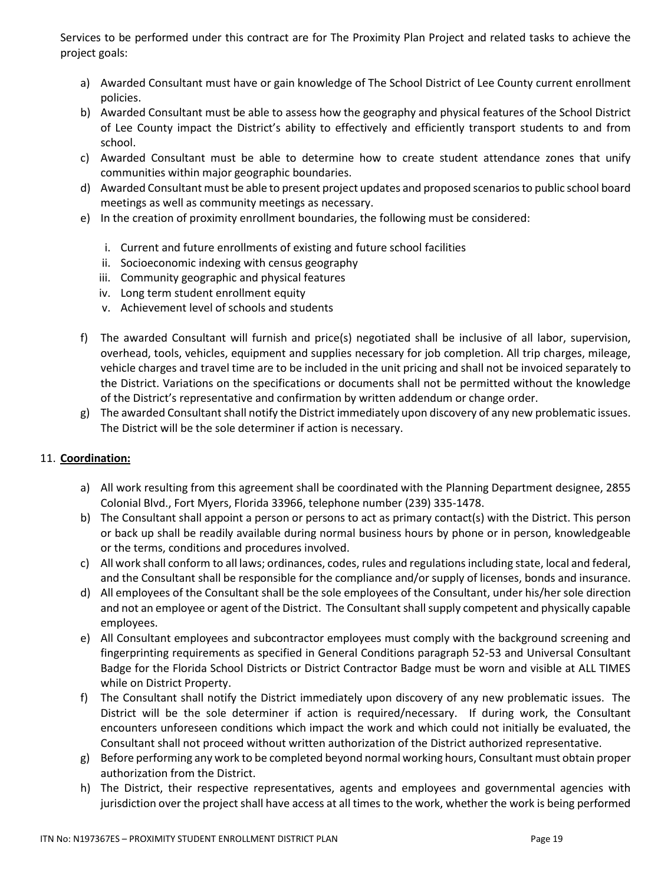Services to be performed under this contract are for The Proximity Plan Project and related tasks to achieve the project goals:

- a) Awarded Consultant must have or gain knowledge of The School District of Lee County current enrollment policies.
- b) Awarded Consultant must be able to assess how the geography and physical features of the School District of Lee County impact the District's ability to effectively and efficiently transport students to and from school.
- c) Awarded Consultant must be able to determine how to create student attendance zones that unify communities within major geographic boundaries.
- d) Awarded Consultant must be able to present project updates and proposed scenarios to public school board meetings as well as community meetings as necessary.
- e) In the creation of proximity enrollment boundaries, the following must be considered:
	- i. Current and future enrollments of existing and future school facilities
	- ii. Socioeconomic indexing with census geography
	- iii. Community geographic and physical features
	- iv. Long term student enrollment equity
	- v. Achievement level of schools and students
- f) The awarded Consultant will furnish and price(s) negotiated shall be inclusive of all labor, supervision, overhead, tools, vehicles, equipment and supplies necessary for job completion. All trip charges, mileage, vehicle charges and travel time are to be included in the unit pricing and shall not be invoiced separately to the District. Variations on the specifications or documents shall not be permitted without the knowledge of the District's representative and confirmation by written addendum or change order.
- g) The awarded Consultant shall notify the District immediately upon discovery of any new problematic issues. The District will be the sole determiner if action is necessary.

## 11. **Coordination:**

- a) All work resulting from this agreement shall be coordinated with the Planning Department designee, 2855 Colonial Blvd., Fort Myers, Florida 33966, telephone number (239) 335-1478.
- b) The Consultant shall appoint a person or persons to act as primary contact(s) with the District. This person or back up shall be readily available during normal business hours by phone or in person, knowledgeable or the terms, conditions and procedures involved.
- c) All work shall conform to all laws; ordinances, codes, rules and regulations including state, local and federal, and the Consultant shall be responsible for the compliance and/or supply of licenses, bonds and insurance.
- d) All employees of the Consultant shall be the sole employees of the Consultant, under his/her sole direction and not an employee or agent of the District. The Consultant shall supply competent and physically capable employees.
- e) All Consultant employees and subcontractor employees must comply with the background screening and fingerprinting requirements as specified in General Conditions paragraph 52-53 and Universal Consultant Badge for the Florida School Districts or District Contractor Badge must be worn and visible at ALL TIMES while on District Property.
- f) The Consultant shall notify the District immediately upon discovery of any new problematic issues. The District will be the sole determiner if action is required/necessary. If during work, the Consultant encounters unforeseen conditions which impact the work and which could not initially be evaluated, the Consultant shall not proceed without written authorization of the District authorized representative.
- g) Before performing any work to be completed beyond normal working hours, Consultant must obtain proper authorization from the District.
- h) The District, their respective representatives, agents and employees and governmental agencies with jurisdiction over the project shall have access at all times to the work, whether the work is being performed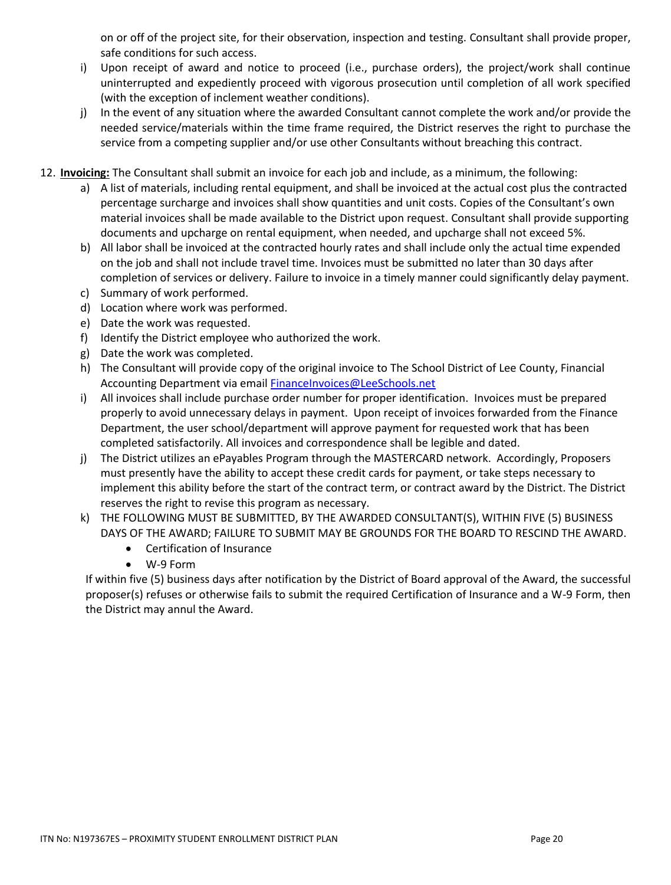on or off of the project site, for their observation, inspection and testing. Consultant shall provide proper, safe conditions for such access.

- i) Upon receipt of award and notice to proceed (i.e., purchase orders), the project/work shall continue uninterrupted and expediently proceed with vigorous prosecution until completion of all work specified (with the exception of inclement weather conditions).
- j) In the event of any situation where the awarded Consultant cannot complete the work and/or provide the needed service/materials within the time frame required, the District reserves the right to purchase the service from a competing supplier and/or use other Consultants without breaching this contract.
- 12. **Invoicing:** The Consultant shall submit an invoice for each job and include, as a minimum, the following:
	- a) A list of materials, including rental equipment, and shall be invoiced at the actual cost plus the contracted percentage surcharge and invoices shall show quantities and unit costs. Copies of the Consultant's own material invoices shall be made available to the District upon request. Consultant shall provide supporting documents and upcharge on rental equipment, when needed, and upcharge shall not exceed 5%.
	- b) All labor shall be invoiced at the contracted hourly rates and shall include only the actual time expended on the job and shall not include travel time. Invoices must be submitted no later than 30 days after completion of services or delivery. Failure to invoice in a timely manner could significantly delay payment.
	- c) Summary of work performed.
	- d) Location where work was performed.
	- e) Date the work was requested.
	- f) Identify the District employee who authorized the work.
	- g) Date the work was completed.
	- h) The Consultant will provide copy of the original invoice to The School District of Lee County, Financial Accounting Department via email [FinanceInvoices@LeeSchools.net](mailto:FinanceInvoices@LeeSchools.net)
	- i) All invoices shall include purchase order number for proper identification. Invoices must be prepared properly to avoid unnecessary delays in payment. Upon receipt of invoices forwarded from the Finance Department, the user school/department will approve payment for requested work that has been completed satisfactorily. All invoices and correspondence shall be legible and dated.
	- j) The District utilizes an ePayables Program through the MASTERCARD network. Accordingly, Proposers must presently have the ability to accept these credit cards for payment, or take steps necessary to implement this ability before the start of the contract term, or contract award by the District. The District reserves the right to revise this program as necessary.
	- k) THE FOLLOWING MUST BE SUBMITTED, BY THE AWARDED CONSULTANT(S), WITHIN FIVE (5) BUSINESS DAYS OF THE AWARD; FAILURE TO SUBMIT MAY BE GROUNDS FOR THE BOARD TO RESCIND THE AWARD.
		- Certification of Insurance
		- W-9 Form

If within five (5) business days after notification by the District of Board approval of the Award, the successful proposer(s) refuses or otherwise fails to submit the required Certification of Insurance and a W-9 Form, then the District may annul the Award.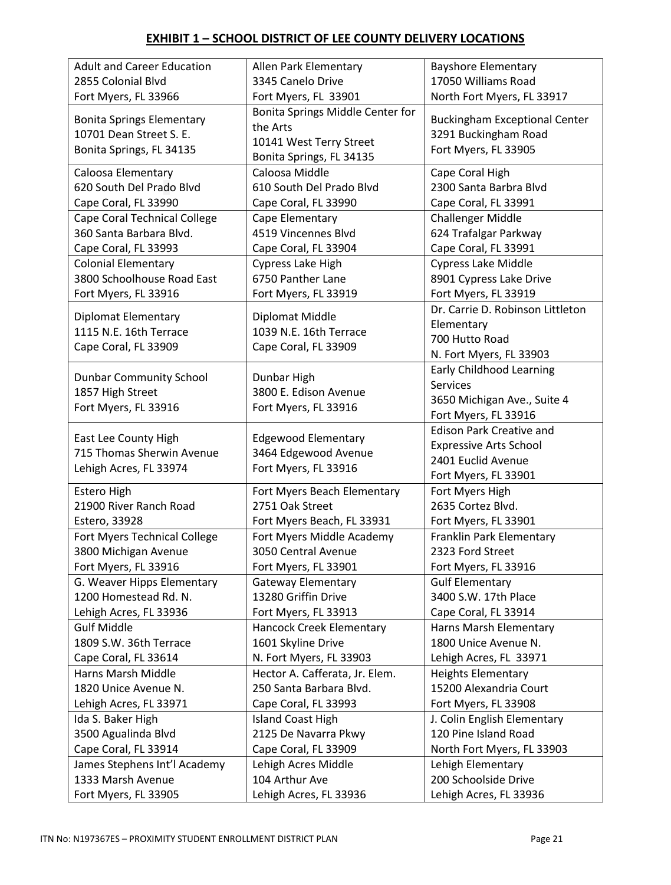# **EXHIBIT 1 – SCHOOL DISTRICT OF LEE COUNTY DELIVERY LOCATIONS**

| <b>Adult and Career Education</b> | Allen Park Elementary            | <b>Bayshore Elementary</b>           |
|-----------------------------------|----------------------------------|--------------------------------------|
| 2855 Colonial Blvd                | 3345 Canelo Drive                | 17050 Williams Road                  |
| Fort Myers, FL 33966              | Fort Myers, FL 33901             | North Fort Myers, FL 33917           |
| <b>Bonita Springs Elementary</b>  | Bonita Springs Middle Center for | <b>Buckingham Exceptional Center</b> |
| 10701 Dean Street S. E.           | the Arts                         | 3291 Buckingham Road                 |
| Bonita Springs, FL 34135          | 10141 West Terry Street          | Fort Myers, FL 33905                 |
|                                   | Bonita Springs, FL 34135         |                                      |
| Caloosa Elementary                | Caloosa Middle                   | Cape Coral High                      |
| 620 South Del Prado Blyd          | 610 South Del Prado Blvd         | 2300 Santa Barbra Blvd               |
| Cape Coral, FL 33990              | Cape Coral, FL 33990             | Cape Coral, FL 33991                 |
| Cape Coral Technical College      | Cape Elementary                  | <b>Challenger Middle</b>             |
| 360 Santa Barbara Blvd.           | 4519 Vincennes Blvd              | 624 Trafalgar Parkway                |
| Cape Coral, FL 33993              | Cape Coral, FL 33904             | Cape Coral, FL 33991                 |
| <b>Colonial Elementary</b>        | Cypress Lake High                | <b>Cypress Lake Middle</b>           |
| 3800 Schoolhouse Road East        | 6750 Panther Lane                | 8901 Cypress Lake Drive              |
| Fort Myers, FL 33916              | Fort Myers, FL 33919             | Fort Myers, FL 33919                 |
|                                   |                                  | Dr. Carrie D. Robinson Littleton     |
| <b>Diplomat Elementary</b>        | Diplomat Middle                  | Elementary                           |
| 1115 N.E. 16th Terrace            | 1039 N.E. 16th Terrace           | 700 Hutto Road                       |
| Cape Coral, FL 33909              | Cape Coral, FL 33909             | N. Fort Myers, FL 33903              |
|                                   |                                  | <b>Early Childhood Learning</b>      |
| <b>Dunbar Community School</b>    | Dunbar High                      | <b>Services</b>                      |
| 1857 High Street                  | 3800 E. Edison Avenue            | 3650 Michigan Ave., Suite 4          |
| Fort Myers, FL 33916              | Fort Myers, FL 33916             | Fort Myers, FL 33916                 |
|                                   |                                  | <b>Edison Park Creative and</b>      |
| East Lee County High              | <b>Edgewood Elementary</b>       | <b>Expressive Arts School</b>        |
| 715 Thomas Sherwin Avenue         | 3464 Edgewood Avenue             | 2401 Euclid Avenue                   |
| Lehigh Acres, FL 33974            | Fort Myers, FL 33916             | Fort Myers, FL 33901                 |
| Estero High                       | Fort Myers Beach Elementary      | Fort Myers High                      |
| 21900 River Ranch Road            | 2751 Oak Street                  | 2635 Cortez Blvd.                    |
| Estero, 33928                     |                                  |                                      |
|                                   | Fort Myers Beach, FL 33931       | Fort Myers, FL 33901                 |
| Fort Myers Technical College      | Fort Myers Middle Academy        | Franklin Park Elementary             |
| 3800 Michigan Avenue              | 3050 Central Avenue              | 2323 Ford Street                     |
| Fort Myers, FL 33916              | Fort Myers, FL 33901             | Fort Myers, FL 33916                 |
| G. Weaver Hipps Elementary        | <b>Gateway Elementary</b>        | <b>Gulf Elementary</b>               |
| 1200 Homestead Rd. N.             | 13280 Griffin Drive              | 3400 S.W. 17th Place                 |
| Lehigh Acres, FL 33936            | Fort Myers, FL 33913             | Cape Coral, FL 33914                 |
| <b>Gulf Middle</b>                | Hancock Creek Elementary         | Harns Marsh Elementary               |
| 1809 S.W. 36th Terrace            | 1601 Skyline Drive               | 1800 Unice Avenue N.                 |
| Cape Coral, FL 33614              | N. Fort Myers, FL 33903          | Lehigh Acres, FL 33971               |
| Harns Marsh Middle                | Hector A. Cafferata, Jr. Elem.   | <b>Heights Elementary</b>            |
| 1820 Unice Avenue N.              | 250 Santa Barbara Blvd.          | 15200 Alexandria Court               |
| Lehigh Acres, FL 33971            | Cape Coral, FL 33993             | Fort Myers, FL 33908                 |
| Ida S. Baker High                 | <b>Island Coast High</b>         | J. Colin English Elementary          |
| 3500 Agualinda Blvd               | 2125 De Navarra Pkwy             | 120 Pine Island Road                 |
| Cape Coral, FL 33914              | Cape Coral, FL 33909             | North Fort Myers, FL 33903           |
| James Stephens Int'l Academy      | Lehigh Acres Middle              | Lehigh Elementary                    |
| 1333 Marsh Avenue                 | 104 Arthur Ave                   | 200 Schoolside Drive                 |
| Fort Myers, FL 33905              | Lehigh Acres, FL 33936           | Lehigh Acres, FL 33936               |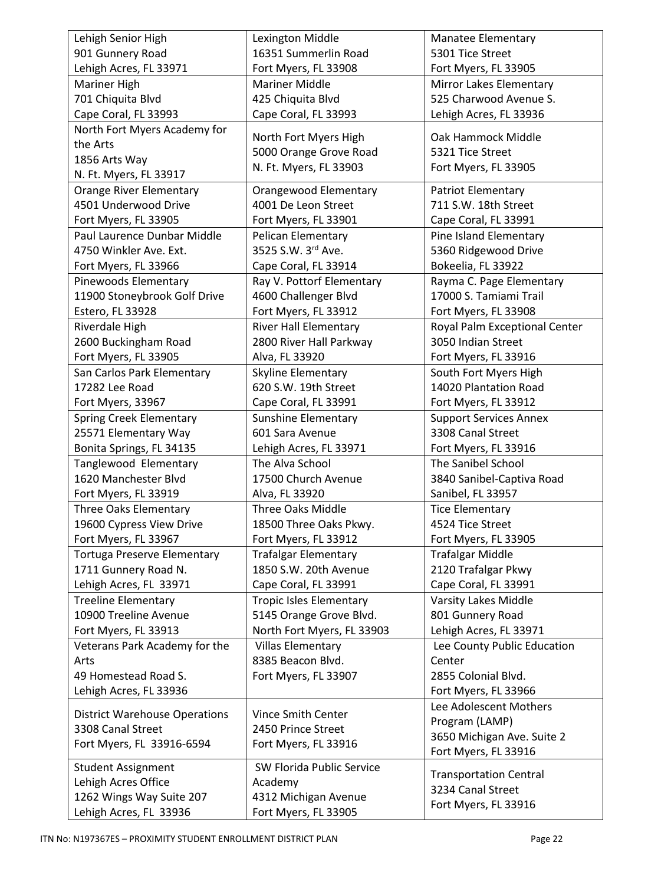| Lehigh Senior High                   | Lexington Middle               | <b>Manatee Elementary</b>     |
|--------------------------------------|--------------------------------|-------------------------------|
| 901 Gunnery Road                     | 16351 Summerlin Road           | 5301 Tice Street              |
| Lehigh Acres, FL 33971               | Fort Myers, FL 33908           | Fort Myers, FL 33905          |
| Mariner High                         | <b>Mariner Middle</b>          | Mirror Lakes Elementary       |
| 701 Chiquita Blvd                    | 425 Chiquita Blvd              | 525 Charwood Avenue S.        |
| Cape Coral, FL 33993                 | Cape Coral, FL 33993           | Lehigh Acres, FL 33936        |
| North Fort Myers Academy for         |                                |                               |
| the Arts                             | North Fort Myers High          | Oak Hammock Middle            |
| 1856 Arts Way                        | 5000 Orange Grove Road         | 5321 Tice Street              |
| N. Ft. Myers, FL 33917               | N. Ft. Myers, FL 33903         | Fort Myers, FL 33905          |
| <b>Orange River Elementary</b>       | Orangewood Elementary          | <b>Patriot Elementary</b>     |
| 4501 Underwood Drive                 | 4001 De Leon Street            | 711 S.W. 18th Street          |
| Fort Myers, FL 33905                 | Fort Myers, FL 33901           | Cape Coral, FL 33991          |
| Paul Laurence Dunbar Middle          | <b>Pelican Elementary</b>      | Pine Island Elementary        |
| 4750 Winkler Ave. Ext.               | 3525 S.W. 3rd Ave.             | 5360 Ridgewood Drive          |
| Fort Myers, FL 33966                 | Cape Coral, FL 33914           | Bokeelia, FL 33922            |
| Pinewoods Elementary                 | Ray V. Pottorf Elementary      | Rayma C. Page Elementary      |
| 11900 Stoneybrook Golf Drive         | 4600 Challenger Blvd           | 17000 S. Tamiami Trail        |
| Estero, FL 33928                     | Fort Myers, FL 33912           | Fort Myers, FL 33908          |
| Riverdale High                       | <b>River Hall Elementary</b>   | Royal Palm Exceptional Center |
| 2600 Buckingham Road                 | 2800 River Hall Parkway        | 3050 Indian Street            |
| Fort Myers, FL 33905                 | Alva, FL 33920                 | Fort Myers, FL 33916          |
| San Carlos Park Elementary           | Skyline Elementary             | South Fort Myers High         |
| 17282 Lee Road                       | 620 S.W. 19th Street           | 14020 Plantation Road         |
| Fort Myers, 33967                    | Cape Coral, FL 33991           | Fort Myers, FL 33912          |
| <b>Spring Creek Elementary</b>       | Sunshine Elementary            | <b>Support Services Annex</b> |
| 25571 Elementary Way                 | 601 Sara Avenue                | 3308 Canal Street             |
| Bonita Springs, FL 34135             | Lehigh Acres, FL 33971         | Fort Myers, FL 33916          |
| Tanglewood Elementary                | The Alva School                | The Sanibel School            |
| 1620 Manchester Blvd                 | 17500 Church Avenue            | 3840 Sanibel-Captiva Road     |
| Fort Myers, FL 33919                 | Alva, FL 33920                 | Sanibel, FL 33957             |
| <b>Three Oaks Elementary</b>         | <b>Three Oaks Middle</b>       | <b>Tice Elementary</b>        |
| 19600 Cypress View Drive             | 18500 Three Oaks Pkwy.         | 4524 Tice Street              |
| Fort Myers, FL 33967                 | Fort Myers, FL 33912           | Fort Myers, FL 33905          |
| <b>Tortuga Preserve Elementary</b>   | <b>Trafalgar Elementary</b>    | <b>Trafalgar Middle</b>       |
| 1711 Gunnery Road N.                 | 1850 S.W. 20th Avenue          | 2120 Trafalgar Pkwy           |
| Lehigh Acres, FL 33971               | Cape Coral, FL 33991           | Cape Coral, FL 33991          |
| <b>Treeline Elementary</b>           | <b>Tropic Isles Elementary</b> | <b>Varsity Lakes Middle</b>   |
| 10900 Treeline Avenue                | 5145 Orange Grove Blvd.        | 801 Gunnery Road              |
| Fort Myers, FL 33913                 | North Fort Myers, FL 33903     | Lehigh Acres, FL 33971        |
| Veterans Park Academy for the        | <b>Villas Elementary</b>       | Lee County Public Education   |
| Arts                                 | 8385 Beacon Blvd.              | Center                        |
| 49 Homestead Road S.                 | Fort Myers, FL 33907           | 2855 Colonial Blvd.           |
| Lehigh Acres, FL 33936               |                                | Fort Myers, FL 33966          |
| <b>District Warehouse Operations</b> | Vince Smith Center             | Lee Adolescent Mothers        |
| 3308 Canal Street                    | 2450 Prince Street             | Program (LAMP)                |
| Fort Myers, FL 33916-6594            | Fort Myers, FL 33916           | 3650 Michigan Ave. Suite 2    |
|                                      |                                | Fort Myers, FL 33916          |
| <b>Student Assignment</b>            | SW Florida Public Service      | <b>Transportation Central</b> |
| Lehigh Acres Office                  | Academy                        | 3234 Canal Street             |
| 1262 Wings Way Suite 207             | 4312 Michigan Avenue           | Fort Myers, FL 33916          |
| Lehigh Acres, FL 33936               | Fort Myers, FL 33905           |                               |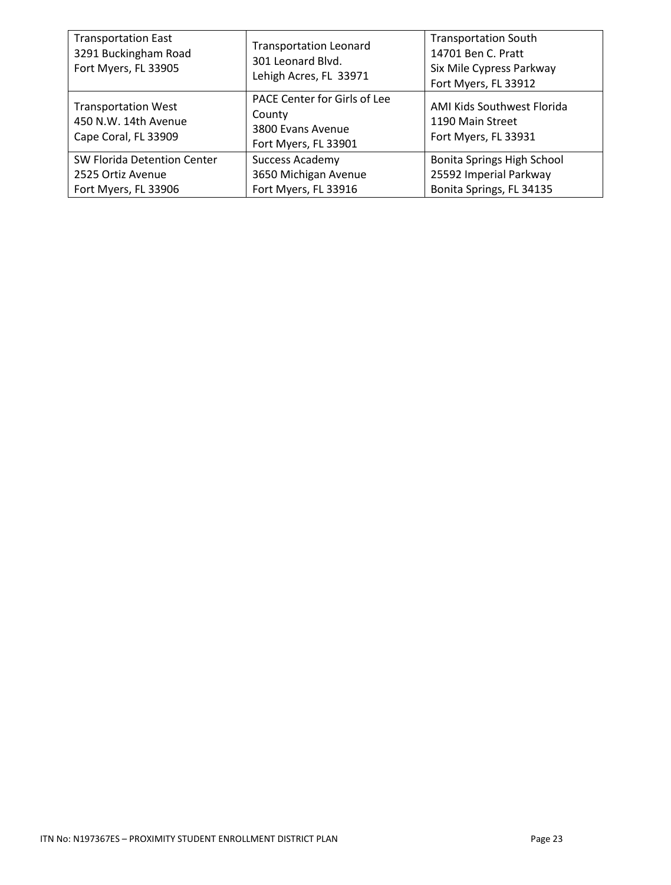| <b>Transportation East</b><br>3291 Buckingham Road<br>Fort Myers, FL 33905 | <b>Transportation Leonard</b><br>301 Leonard Blvd.<br>Lehigh Acres, FL 33971        | <b>Transportation South</b><br>14701 Ben C. Pratt<br>Six Mile Cypress Parkway<br>Fort Myers, FL 33912 |
|----------------------------------------------------------------------------|-------------------------------------------------------------------------------------|-------------------------------------------------------------------------------------------------------|
| <b>Transportation West</b><br>450 N.W. 14th Avenue<br>Cape Coral, FL 33909 | PACE Center for Girls of Lee<br>County<br>3800 Evans Avenue<br>Fort Myers, FL 33901 | AMI Kids Southwest Florida<br>1190 Main Street<br>Fort Myers, FL 33931                                |
| SW Florida Detention Center<br>2525 Ortiz Avenue<br>Fort Myers, FL 33906   | <b>Success Academy</b><br>3650 Michigan Avenue<br>Fort Myers, FL 33916              | Bonita Springs High School<br>25592 Imperial Parkway<br>Bonita Springs, FL 34135                      |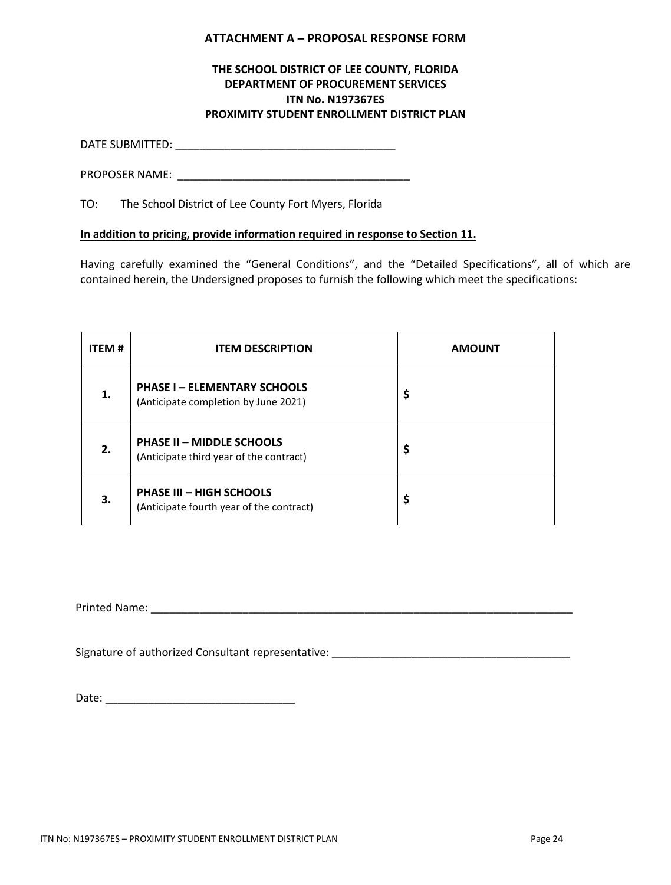### **ATTACHMENT A – PROPOSAL RESPONSE FORM**

## **THE SCHOOL DISTRICT OF LEE COUNTY, FLORIDA DEPARTMENT OF PROCUREMENT SERVICES ITN No. N197367ES PROXIMITY STUDENT ENROLLMENT DISTRICT PLAN**

DATE SUBMITTED: \_\_\_\_\_\_\_\_\_\_\_\_\_\_\_\_\_\_\_\_\_\_\_\_\_\_\_\_\_\_\_\_\_\_\_\_

PROPOSER NAME: \_\_\_\_\_\_\_\_\_\_\_\_\_\_\_\_\_\_\_\_\_\_\_\_\_\_\_\_\_\_\_\_\_\_\_\_\_\_

TO: The School District of Lee County Fort Myers, Florida

## **In addition to pricing, provide information required in response to Section 11.**

Having carefully examined the "General Conditions", and the "Detailed Specifications", all of which are contained herein, the Undersigned proposes to furnish the following which meet the specifications:

| <b>ITEM#</b> | <b>ITEM DESCRIPTION</b>                                                     | <b>AMOUNT</b> |
|--------------|-----------------------------------------------------------------------------|---------------|
| 1.           | <b>PHASE I - ELEMENTARY SCHOOLS</b><br>(Anticipate completion by June 2021) | \$            |
| 2.           | <b>PHASE II - MIDDLE SCHOOLS</b><br>(Anticipate third year of the contract) | \$            |
| З.           | <b>PHASE III - HIGH SCHOOLS</b><br>(Anticipate fourth year of the contract) | \$            |

Printed Name: \_\_\_\_\_\_\_\_\_\_\_\_\_\_\_\_\_\_\_\_\_\_\_\_\_\_\_\_\_\_\_\_\_\_\_\_\_\_\_\_\_\_\_\_\_\_\_\_\_\_\_\_\_\_\_\_\_\_\_\_\_\_\_\_\_\_\_\_\_

Signature of authorized Consultant representative: \_\_\_\_\_\_\_\_\_\_\_\_\_\_\_\_\_\_\_\_\_\_\_\_\_\_\_\_\_\_\_\_\_\_\_\_\_\_\_

Date: \_\_\_\_\_\_\_\_\_\_\_\_\_\_\_\_\_\_\_\_\_\_\_\_\_\_\_\_\_\_\_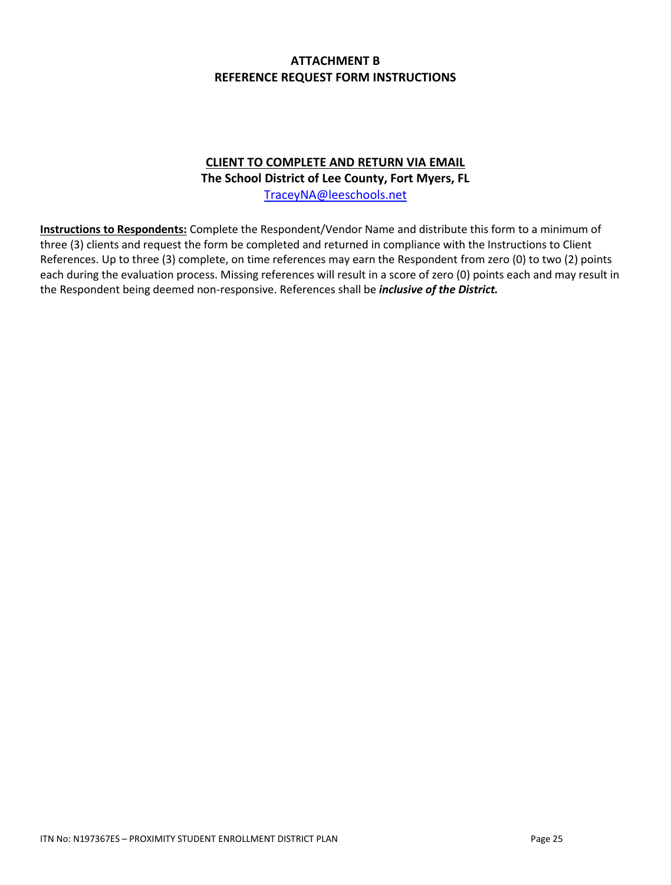# **ATTACHMENT B REFERENCE REQUEST FORM INSTRUCTIONS**

# **CLIENT TO COMPLETE AND RETURN VIA EMAIL**

**The School District of Lee County, Fort Myers, FL**

[TraceyNA@leeschools.net](mailto:TraceyNA@leeschools.net)

**Instructions to Respondents:** Complete the Respondent/Vendor Name and distribute this form to a minimum of three (3) clients and request the form be completed and returned in compliance with the Instructions to Client References. Up to three (3) complete, on time references may earn the Respondent from zero (0) to two (2) points each during the evaluation process. Missing references will result in a score of zero (0) points each and may result in the Respondent being deemed non-responsive. References shall be *inclusive of the District.*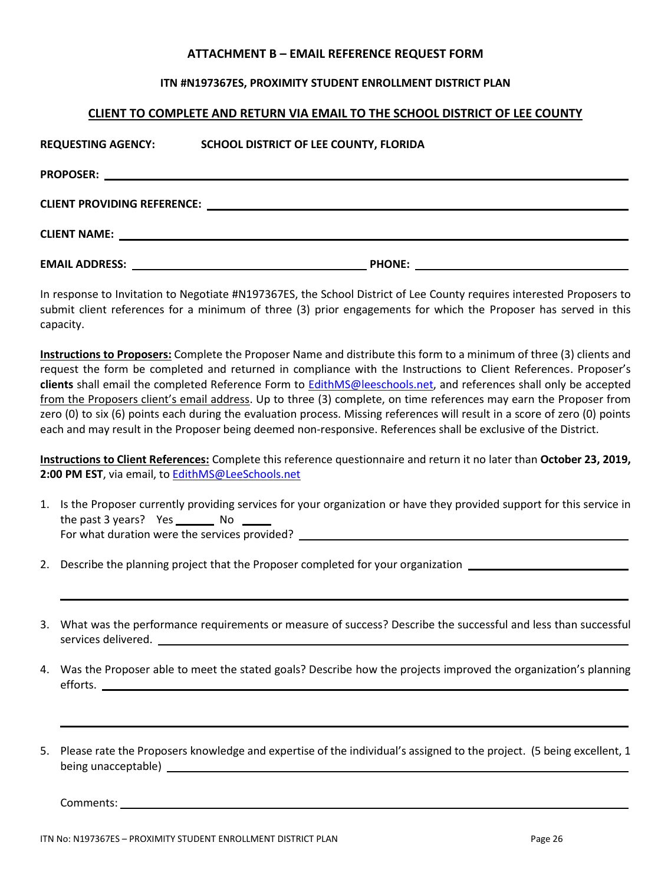#### **ATTACHMENT B – EMAIL REFERENCE REQUEST FORM**

#### **ITN #N197367ES, PROXIMITY STUDENT ENROLLMENT DISTRICT PLAN**

#### **CLIENT TO COMPLETE AND RETURN VIA EMAIL TO THE SCHOOL DISTRICT OF LEE COUNTY**

| <b>REQUESTING AGENCY:</b> | SCHOOL DISTRICT OF LEE COUNTY, FLORIDA                                                                                                |
|---------------------------|---------------------------------------------------------------------------------------------------------------------------------------|
| <b>PROPOSER:</b>          |                                                                                                                                       |
|                           |                                                                                                                                       |
|                           |                                                                                                                                       |
| <b>EMAIL ADDRESS:</b>     | <b>PHONE:</b><br><u> 1989 - Johann Stein, marwolaethau a bhann an t-Amhair ann an t-Amhair an t-Amhair an t-Amhair an t-Amhair an</u> |

In response to Invitation to Negotiate #N197367ES, the School District of Lee County requires interested Proposers to submit client references for a minimum of three (3) prior engagements for which the Proposer has served in this capacity.

**Instructions to Proposers:** Complete the Proposer Name and distribute this form to a minimum of three (3) clients and request the form be completed and returned in compliance with the Instructions to Client References. Proposer's **clients** shall email the completed Reference Form to [EdithMS@leeschools.net,](mailto:EdithMS@leeschools.net) and references shall only be accepted from the Proposers client's email address. Up to three (3) complete, on time references may earn the Proposer from zero (0) to six (6) points each during the evaluation process. Missing references will result in a score of zero (0) points each and may result in the Proposer being deemed non-responsive. References shall be exclusive of the District.

**Instructions to Client References:** Complete this reference questionnaire and return it no later than **October 23, 2019, 2:00 PM EST**, via email, t[o EdithMS@LeeSchools.net](mailto:EdithMS@LeeSchools.net)

- 1. Is the Proposer currently providing services for your organization or have they provided support for this service in the past 3 years?  $Yes$  No For what duration were the services provided? \_\_\_\_\_\_\_\_\_\_\_\_\_\_\_\_\_\_\_\_\_\_\_\_\_\_\_\_\_\_\_\_\_\_
- 2. Describe the planning project that the Proposer completed for your organization \_\_\_\_\_\_\_\_\_\_\_\_\_\_\_\_\_\_\_\_\_\_\_\_\_\_\_
- 3. What was the performance requirements or measure of success? Describe the successful and less than successful services delivered.
- 4. Was the Proposer able to meet the stated goals? Describe how the projects improved the organization's planning efforts.
- 5. Please rate the Proposers knowledge and expertise of the individual's assigned to the project. (5 being excellent, 1 being unacceptable)

Comments: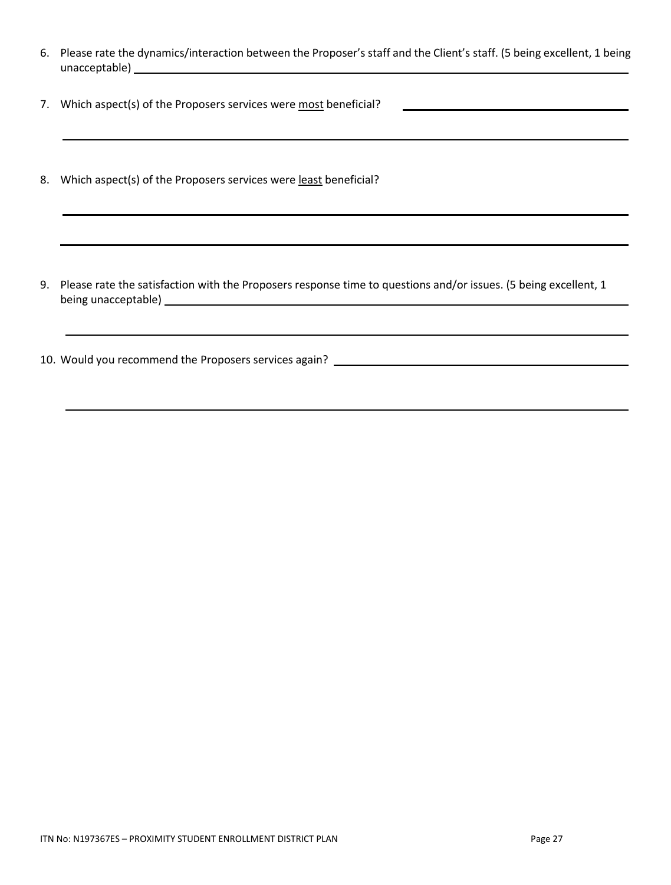- 6. Please rate the dynamics/interaction between the Proposer's staff and the Client's staff. (5 being excellent, 1 being unacceptable) and the control of the control of the control of the control of the control of the control of the control of the control of the control of the control of the control of the control of the control of the contr
- 7. Which aspect(s) of the Proposers services were most beneficial?
- 8. Which aspect(s) of the Proposers services were least beneficial?

- 9. Please rate the satisfaction with the Proposers response time to questions and/or issues. (5 being excellent, 1 being unacceptable) example and the set of the set of the set of the set of the set of the set of the set of the set of the set of the set of the set of the set of the set of the set of the set of the set of the set of the
- 10. Would you recommend the Proposers services again?

l,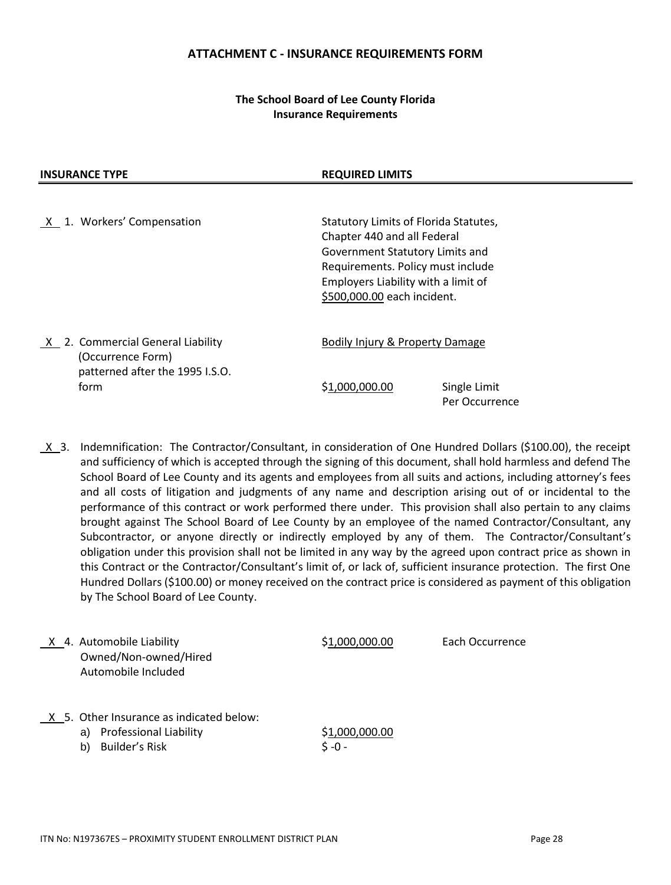#### **ATTACHMENT C - INSURANCE REQUIREMENTS FORM**

## **The School Board of Lee County Florida Insurance Requirements**

### **INSURANCE TYPE REQUIRED LIMITS**

X 1. Workers' Compensation Statutory Limits of Florida Statutes, Chapter 440 and all Federal Government Statutory Limits and Requirements. Policy must include Employers Liability with a limit of \$500,000.00 each incident. X 2. Commercial General Liability Bodily Injury & Property Damage (Occurrence Form)

 patterned after the 1995 I.S.O. form \$1,000,000.00 Single Limit

Per Occurrence

 $X$  3. Indemnification: The Contractor/Consultant, in consideration of One Hundred Dollars (\$100.00), the receipt and sufficiency of which is accepted through the signing of this document, shall hold harmless and defend The School Board of Lee County and its agents and employees from all suits and actions, including attorney's fees and all costs of litigation and judgments of any name and description arising out of or incidental to the performance of this contract or work performed there under. This provision shall also pertain to any claims brought against The School Board of Lee County by an employee of the named Contractor/Consultant, any Subcontractor, or anyone directly or indirectly employed by any of them. The Contractor/Consultant's obligation under this provision shall not be limited in any way by the agreed upon contract price as shown in this Contract or the Contractor/Consultant's limit of, or lack of, sufficient insurance protection. The first One Hundred Dollars (\$100.00) or money received on the contract price is considered as payment of this obligation by The School Board of Lee County.

X 4. Automobile Liability  $$1,000,000.00$  Each Occurrence Owned/Non-owned/Hired Automobile Included

- X 5. Other Insurance as indicated below:
	- a) Professional Liability \$1,000,000.00
	- b) Builder's Risk  $\zeta 0$  -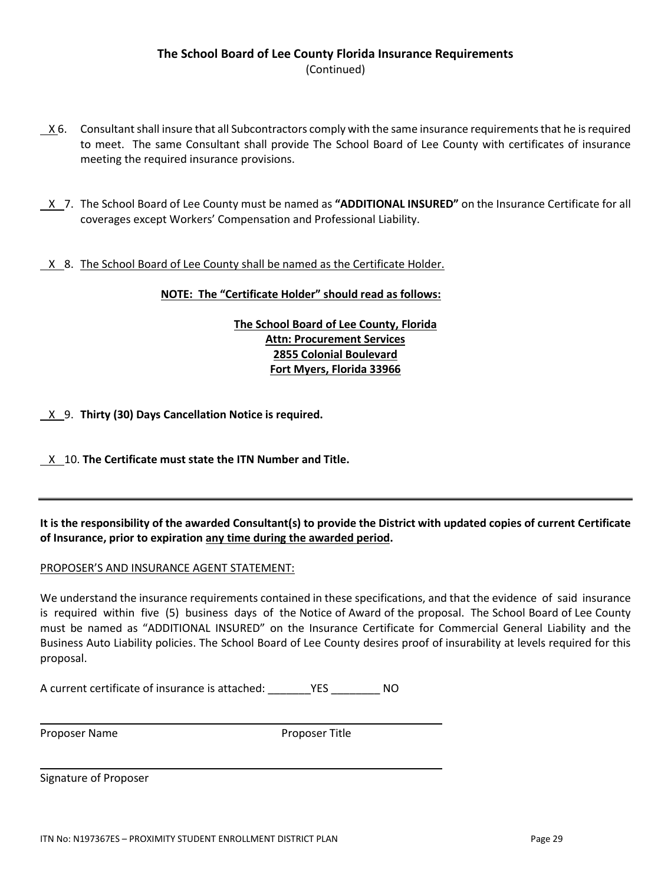- X 6. Consultant shall insure that all Subcontractors comply with the same insurance requirements that he is required to meet. The same Consultant shall provide The School Board of Lee County with certificates of insurance meeting the required insurance provisions.
- X 7. The School Board of Lee County must be named as **"ADDITIONAL INSURED"** on the Insurance Certificate for all coverages except Workers' Compensation and Professional Liability.

## X 8. The School Board of Lee County shall be named as the Certificate Holder.

### **NOTE: The "Certificate Holder" should read as follows:**

**The School Board of Lee County, Florida Attn: Procurement Services 2855 Colonial Boulevard Fort Myers, Florida 33966**

X 9. **Thirty (30) Days Cancellation Notice is required.**

X 10. **The Certificate must state the ITN Number and Title.**

**It is the responsibility of the awarded Consultant(s) to provide the District with updated copies of current Certificate of Insurance, prior to expiration any time during the awarded period.**

## PROPOSER'S AND INSURANCE AGENT STATEMENT:

We understand the insurance requirements contained in these specifications, and that the evidence of said insurance is required within five (5) business days of the Notice of Award of the proposal. The School Board of Lee County must be named as "ADDITIONAL INSURED" on the Insurance Certificate for Commercial General Liability and the Business Auto Liability policies. The School Board of Lee County desires proof of insurability at levels required for this proposal.

A current certificate of insurance is attached: \_\_\_\_\_\_\_YES \_\_\_\_\_\_\_\_ NO

| Proposer Name |  |
|---------------|--|
|---------------|--|

Proposer Title

Signature of Proposer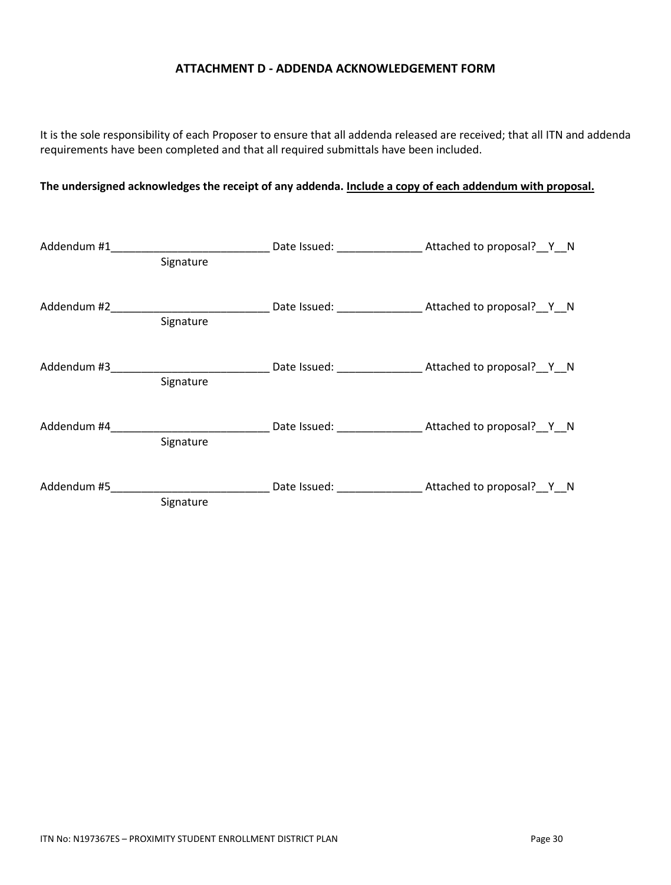## **ATTACHMENT D - ADDENDA ACKNOWLEDGEMENT FORM**

It is the sole responsibility of each Proposer to ensure that all addenda released are received; that all ITN and addenda requirements have been completed and that all required submittals have been included.

# **The undersigned acknowledges the receipt of any addenda. Include a copy of each addendum with proposal.**

| Addendum #1             |           |                                                                              |
|-------------------------|-----------|------------------------------------------------------------------------------|
|                         | Signature |                                                                              |
|                         |           |                                                                              |
|                         | Signature |                                                                              |
| Addendum #3 Addendum #3 |           | Date Issued: Mattached to proposal? Y N                                      |
|                         | Signature |                                                                              |
|                         |           | Addendum #4 <b>Addendum #4</b> Date Issued: <b>Attached to proposal?</b> Y N |
|                         | Signature |                                                                              |
| Addendum #5             | Signature | Date Issued: Mattached to proposal? Y N                                      |
|                         |           |                                                                              |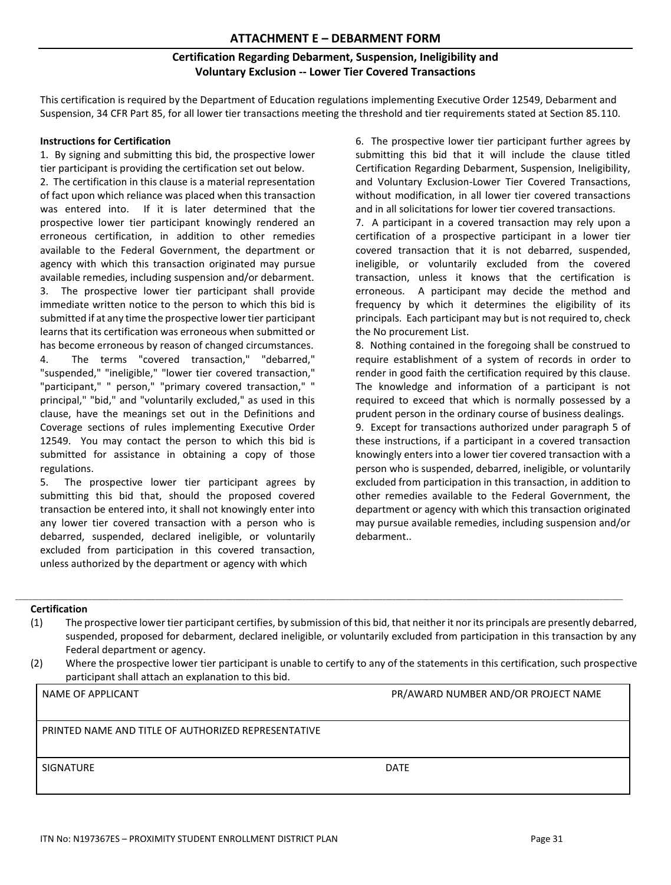# **Certification Regarding Debarment, Suspension, Ineligibility and Voluntary Exclusion -- Lower Tier Covered Transactions**

This certification is required by the Department of Education regulations implementing Executive Order 12549, Debarment and Suspension, 34 CFR Part 85, for all lower tier transactions meeting the threshold and tier requirements stated at Section 85.110.

#### **Instructions for Certification**

1. By signing and submitting this bid, the prospective lower tier participant is providing the certification set out below.

2. The certification in this clause is a material representation of fact upon which reliance was placed when this transaction was entered into. If it is later determined that the prospective lower tier participant knowingly rendered an erroneous certification, in addition to other remedies available to the Federal Government, the department or agency with which this transaction originated may pursue available remedies, including suspension and/or debarment.

3. The prospective lower tier participant shall provide immediate written notice to the person to which this bid is submitted if at any time the prospective lower tier participant learns that its certification was erroneous when submitted or has become erroneous by reason of changed circumstances.

4. The terms "covered transaction," "debarred," "suspended," "ineligible," "lower tier covered transaction," "participant," " person," "primary covered transaction," " principal," "bid," and "voluntarily excluded," as used in this clause, have the meanings set out in the Definitions and Coverage sections of rules implementing Executive Order 12549. You may contact the person to which this bid is submitted for assistance in obtaining a copy of those regulations.

5. The prospective lower tier participant agrees by submitting this bid that, should the proposed covered transaction be entered into, it shall not knowingly enter into any lower tier covered transaction with a person who is debarred, suspended, declared ineligible, or voluntarily excluded from participation in this covered transaction, unless authorized by the department or agency with which

6. The prospective lower tier participant further agrees by submitting this bid that it will include the clause titled Certification Regarding Debarment, Suspension, Ineligibility, and Voluntary Exclusion-Lower Tier Covered Transactions, without modification, in all lower tier covered transactions and in all solicitations for lower tier covered transactions.

7. A participant in a covered transaction may rely upon a certification of a prospective participant in a lower tier covered transaction that it is not debarred, suspended, ineligible, or voluntarily excluded from the covered transaction, unless it knows that the certification is erroneous. A participant may decide the method and frequency by which it determines the eligibility of its principals. Each participant may but is not required to, check the No procurement List.

8. Nothing contained in the foregoing shall be construed to require establishment of a system of records in order to render in good faith the certification required by this clause. The knowledge and information of a participant is not required to exceed that which is normally possessed by a prudent person in the ordinary course of business dealings.

9. Except for transactions authorized under paragraph 5 of these instructions, if a participant in a covered transaction knowingly enters into a lower tier covered transaction with a person who is suspended, debarred, ineligible, or voluntarily excluded from participation in this transaction, in addition to other remedies available to the Federal Government, the department or agency with which this transaction originated may pursue available remedies, including suspension and/or debarment..

# **Certification**

(1) The prospective lower tier participant certifies, by submission of this bid, that neither it nor its principals are presently debarred, suspended, proposed for debarment, declared ineligible, or voluntarily excluded from participation in this transaction by any Federal department or agency.

\_\_\_\_\_\_\_\_\_\_\_\_\_\_\_\_\_\_\_\_\_\_\_\_\_\_\_\_\_\_\_\_\_\_\_\_\_\_\_\_\_\_\_\_\_\_\_\_\_\_\_\_\_\_\_\_\_\_\_\_\_\_\_\_\_\_\_\_\_\_\_\_\_\_\_\_\_\_\_\_\_\_\_\_\_\_\_\_\_\_\_\_\_\_\_\_\_\_\_\_\_\_\_\_\_\_\_\_\_\_\_\_\_\_\_\_\_\_\_\_\_\_\_\_\_\_\_\_\_\_\_\_\_\_\_\_\_\_\_\_\_\_\_\_\_\_\_\_\_\_\_\_\_\_\_\_\_\_\_\_\_\_\_\_\_\_\_\_\_\_\_\_\_\_\_\_\_\_\_\_\_\_

(2) Where the prospective lower tier participant is unable to certify to any of the statements in this certification, such prospective participant shall attach an explanation to this bid.

NAME OF APPLICANT THE SERVICE OF APPLICANT AND SERVICE OF A PR/AWARD NUMBER AND/OR PROJECT NAME

PRINTED NAME AND TITLE OF AUTHORIZED REPRESENTATIVE

SIGNATURE DATE DATE OF A SERIES OF A SERIES OF A SERIES OF A SERIES OF A SERIES OF A SERIES OF A SERIES OF A S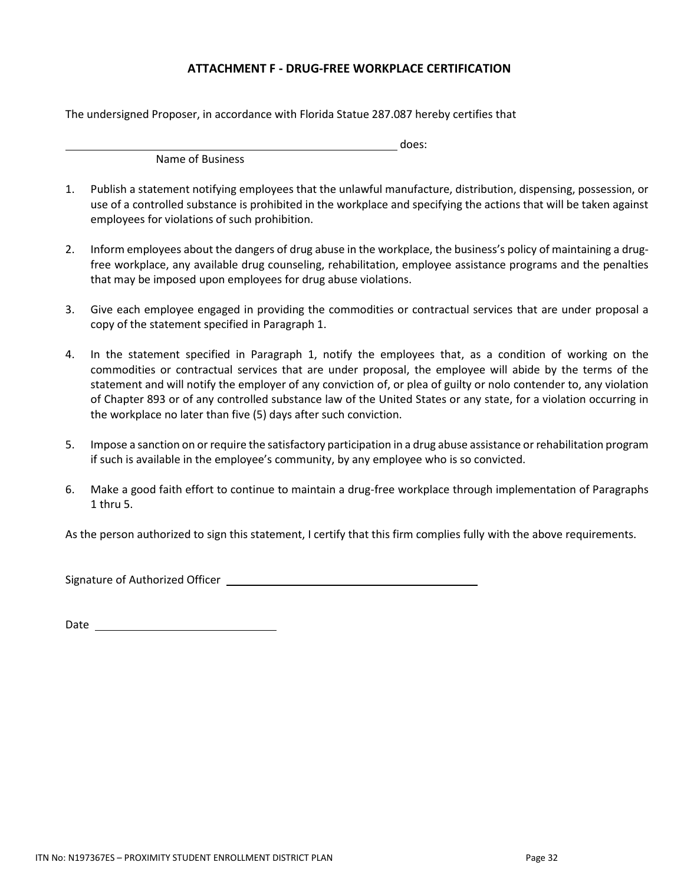## **ATTACHMENT F - DRUG-FREE WORKPLACE CERTIFICATION**

The undersigned Proposer, in accordance with Florida Statue 287.087 hereby certifies that

does:

Name of Business

- 1. Publish a statement notifying employees that the unlawful manufacture, distribution, dispensing, possession, or use of a controlled substance is prohibited in the workplace and specifying the actions that will be taken against employees for violations of such prohibition.
- 2. Inform employees about the dangers of drug abuse in the workplace, the business's policy of maintaining a drugfree workplace, any available drug counseling, rehabilitation, employee assistance programs and the penalties that may be imposed upon employees for drug abuse violations.
- 3. Give each employee engaged in providing the commodities or contractual services that are under proposal a copy of the statement specified in Paragraph 1.
- 4. In the statement specified in Paragraph 1, notify the employees that, as a condition of working on the commodities or contractual services that are under proposal, the employee will abide by the terms of the statement and will notify the employer of any conviction of, or plea of guilty or nolo contender to, any violation of Chapter 893 or of any controlled substance law of the United States or any state, for a violation occurring in the workplace no later than five (5) days after such conviction.
- 5. Impose a sanction on orrequire the satisfactory participation in a drug abuse assistance or rehabilitation program if such is available in the employee's community, by any employee who is so convicted.
- 6. Make a good faith effort to continue to maintain a drug-free workplace through implementation of Paragraphs 1 thru 5.

As the person authorized to sign this statement, I certify that this firm complies fully with the above requirements.

Signature of Authorized Officer

Date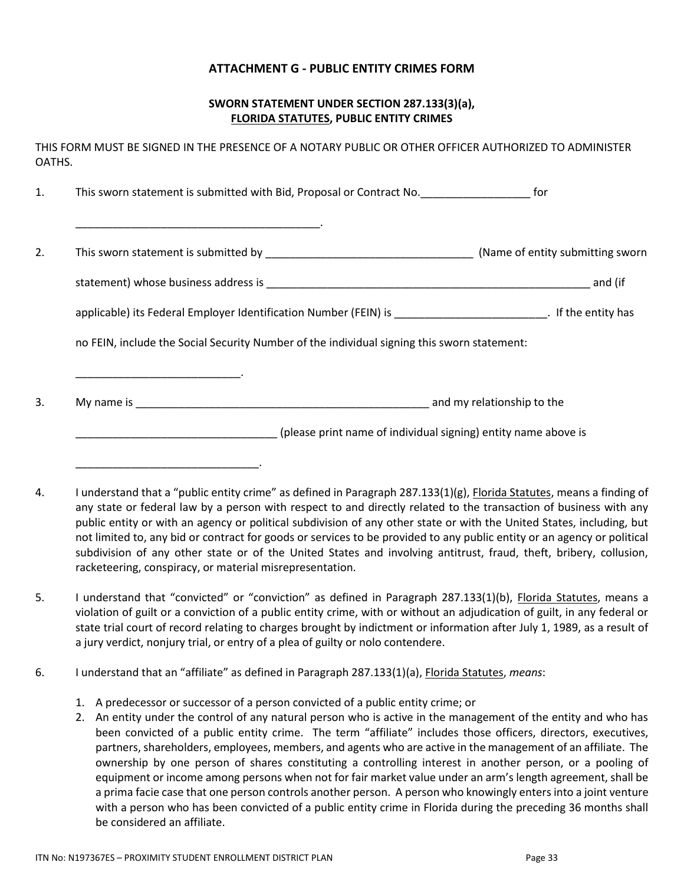## **ATTACHMENT G - PUBLIC ENTITY CRIMES FORM**

## **SWORN STATEMENT UNDER SECTION 287.133(3)(a), FLORIDA STATUTES, PUBLIC ENTITY CRIMES**

THIS FORM MUST BE SIGNED IN THE PRESENCE OF A NOTARY PUBLIC OR OTHER OFFICER AUTHORIZED TO ADMINISTER OATHS.

1. This sworn statement is submitted with Bid, Proposal or Contract No. This sworn statement is submitted with Bid, Proposal or Contract No. \_\_\_\_\_\_\_\_\_\_\_\_\_\_\_\_\_\_\_\_\_\_\_\_\_\_\_\_\_\_\_\_\_\_\_\_\_\_\_\_. 2. This sworn statement is submitted by **EXALL STATE SET A REGISTION** (Name of entity submitting sworn statement) whose business address is \_\_\_\_\_\_\_\_\_\_\_\_\_\_\_\_\_\_\_\_\_\_\_\_\_\_\_\_\_\_\_\_\_\_\_\_\_\_\_\_\_\_\_\_\_\_\_\_\_\_\_\_\_ and (if applicable) its Federal Employer Identification Number (FEIN) is \_\_\_\_\_\_\_\_\_\_\_\_\_\_\_\_\_\_\_\_\_\_\_\_\_\_\_\_. If the entity has no FEIN, include the Social Security Number of the individual signing this sworn statement: \_\_\_\_\_\_\_\_\_\_\_\_\_\_\_\_\_\_\_\_\_\_\_\_\_\_\_. 3. My name is \_\_\_\_\_\_\_\_\_\_\_\_\_\_\_\_\_\_\_\_\_\_\_\_\_\_\_\_\_\_\_\_\_\_\_\_\_\_\_\_\_\_\_\_\_\_\_\_ and my relationship to the \_\_\_\_\_\_\_\_\_\_\_\_\_\_\_\_\_\_\_\_\_\_\_\_\_\_\_\_\_\_\_\_\_ (please print name of individual signing) entity name above is

- 4. I understand that a "public entity crime" as defined in Paragraph 287.133(1)(g), Florida Statutes, means a finding of any state or federal law by a person with respect to and directly related to the transaction of business with any public entity or with an agency or political subdivision of any other state or with the United States, including, but not limited to, any bid or contract for goods or services to be provided to any public entity or an agency or political subdivision of any other state or of the United States and involving antitrust, fraud, theft, bribery, collusion, racketeering, conspiracy, or material misrepresentation.
- 5. I understand that "convicted" or "conviction" as defined in Paragraph 287.133(1)(b), Florida Statutes, means a violation of guilt or a conviction of a public entity crime, with or without an adjudication of guilt, in any federal or state trial court of record relating to charges brought by indictment or information after July 1, 1989, as a result of a jury verdict, nonjury trial, or entry of a plea of guilty or nolo contendere.
- 6. I understand that an "affiliate" as defined in Paragraph 287.133(1)(a), Florida Statutes, *means*:
	- 1. A predecessor or successor of a person convicted of a public entity crime; or
	- 2. An entity under the control of any natural person who is active in the management of the entity and who has been convicted of a public entity crime. The term "affiliate" includes those officers, directors, executives, partners, shareholders, employees, members, and agents who are active in the management of an affiliate. The ownership by one person of shares constituting a controlling interest in another person, or a pooling of equipment or income among persons when not for fair market value under an arm's length agreement, shall be a prima facie case that one person controls another person. A person who knowingly enters into a joint venture with a person who has been convicted of a public entity crime in Florida during the preceding 36 months shall be considered an affiliate.

\_\_\_\_\_\_\_\_\_\_\_\_\_\_\_\_\_\_\_\_\_\_\_\_\_\_\_\_\_\_.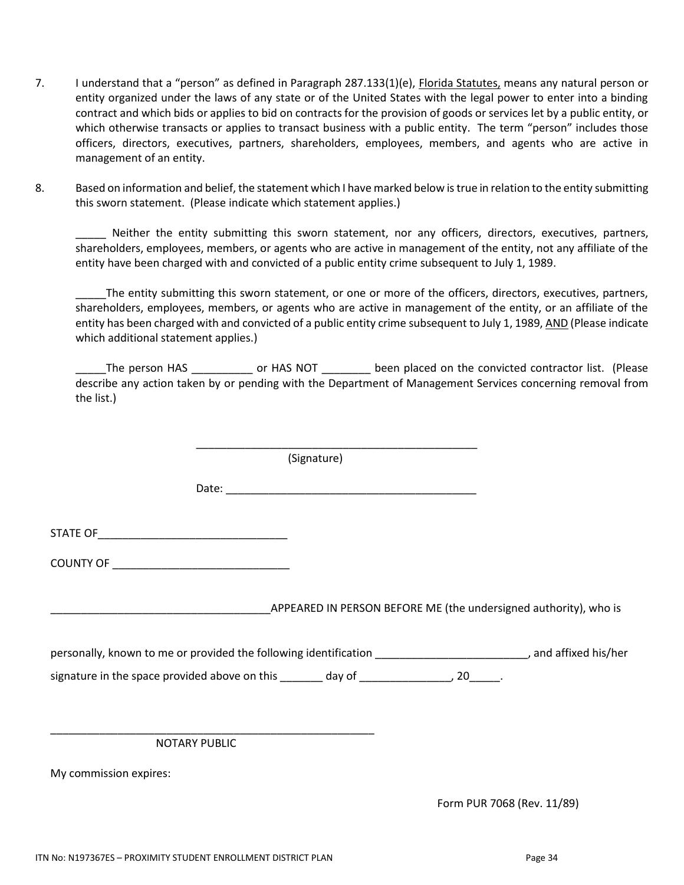- 7. I understand that a "person" as defined in Paragraph 287.133(1)(e), Florida Statutes, means any natural person or entity organized under the laws of any state or of the United States with the legal power to enter into a binding contract and which bids or applies to bid on contracts for the provision of goods or services let by a public entity, or which otherwise transacts or applies to transact business with a public entity. The term "person" includes those officers, directors, executives, partners, shareholders, employees, members, and agents who are active in management of an entity.
- 8. Based on information and belief, the statement which I have marked below is true in relation to the entity submitting this sworn statement. (Please indicate which statement applies.)

\_\_\_\_\_ Neither the entity submitting this sworn statement, nor any officers, directors, executives, partners, shareholders, employees, members, or agents who are active in management of the entity, not any affiliate of the entity have been charged with and convicted of a public entity crime subsequent to July 1, 1989.

The entity submitting this sworn statement, or one or more of the officers, directors, executives, partners, shareholders, employees, members, or agents who are active in management of the entity, or an affiliate of the entity has been charged with and convicted of a public entity crime subsequent to July 1, 1989, AND (Please indicate which additional statement applies.)

\_\_\_\_\_The person HAS \_\_\_\_\_\_\_\_\_\_ or HAS NOT \_\_\_\_\_\_\_\_ been placed on the convicted contractor list. (Please describe any action taken by or pending with the Department of Management Services concerning removal from the list.)

|                                            | (Signature)                                                                                                              |  |
|--------------------------------------------|--------------------------------------------------------------------------------------------------------------------------|--|
|                                            |                                                                                                                          |  |
|                                            |                                                                                                                          |  |
| COUNTY OF ________________________________ |                                                                                                                          |  |
|                                            | APPEARED IN PERSON BEFORE ME (the undersigned authority), who is                                                         |  |
|                                            | personally, known to me or provided the following identification __________________________________, and affixed his/her |  |
|                                            | signature in the space provided above on this _______ day of __________________, 20______.                               |  |
|                                            |                                                                                                                          |  |
| NOTARY PUBLIC                              |                                                                                                                          |  |

My commission expires:

Form PUR 7068 (Rev. 11/89)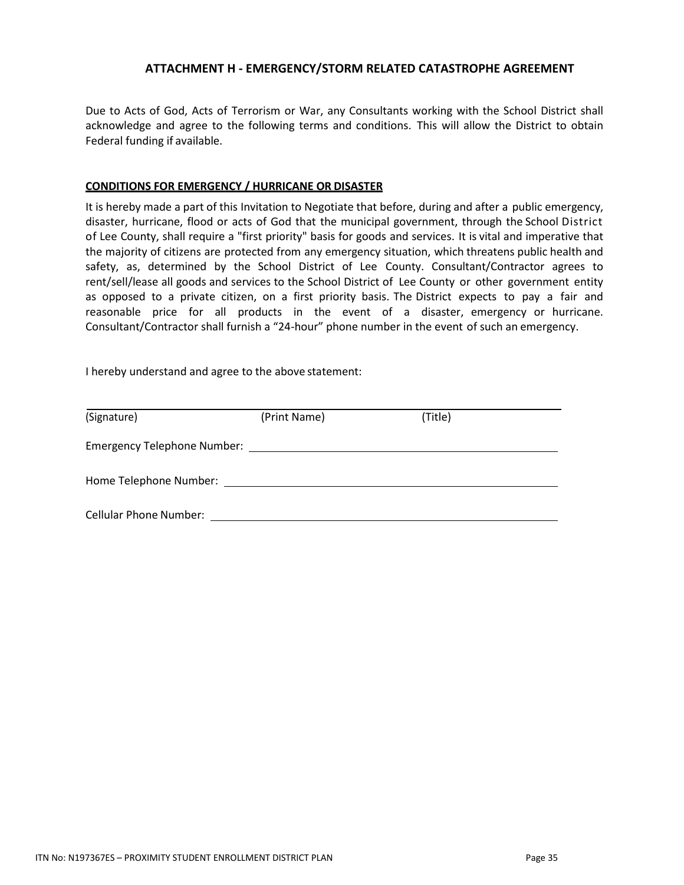## **ATTACHMENT H - EMERGENCY/STORM RELATED CATASTROPHE AGREEMENT**

Due to Acts of God, Acts of Terrorism or War, any Consultants working with the School District shall acknowledge and agree to the following terms and conditions. This will allow the District to obtain Federal funding if available.

### **CONDITIONS FOR EMERGENCY / HURRICANE OR DISASTER**

It is hereby made a part of this Invitation to Negotiate that before, during and after a public emergency, disaster, hurricane, flood or acts of God that the municipal government, through the School District of Lee County, shall require a "first priority" basis for goods and services. It is vital and imperative that the majority of citizens are protected from any emergency situation, which threatens public health and safety, as, determined by the School District of Lee County. Consultant/Contractor agrees to rent/sell/lease all goods and services to the School District of Lee County or other government entity as opposed to a private citizen, on a first priority basis. The District expects to pay a fair and reasonable price for all products in the event of a disaster, emergency or hurricane. Consultant/Contractor shall furnish a "24-hour" phone number in the event of such an emergency.

I hereby understand and agree to the above statement:

| (Signature)                        | (Print Name) | (Title) |  |  |  |
|------------------------------------|--------------|---------|--|--|--|
| <b>Emergency Telephone Number:</b> |              |         |  |  |  |
| Home Telephone Number:             |              |         |  |  |  |
| <b>Cellular Phone Number:</b>      |              |         |  |  |  |